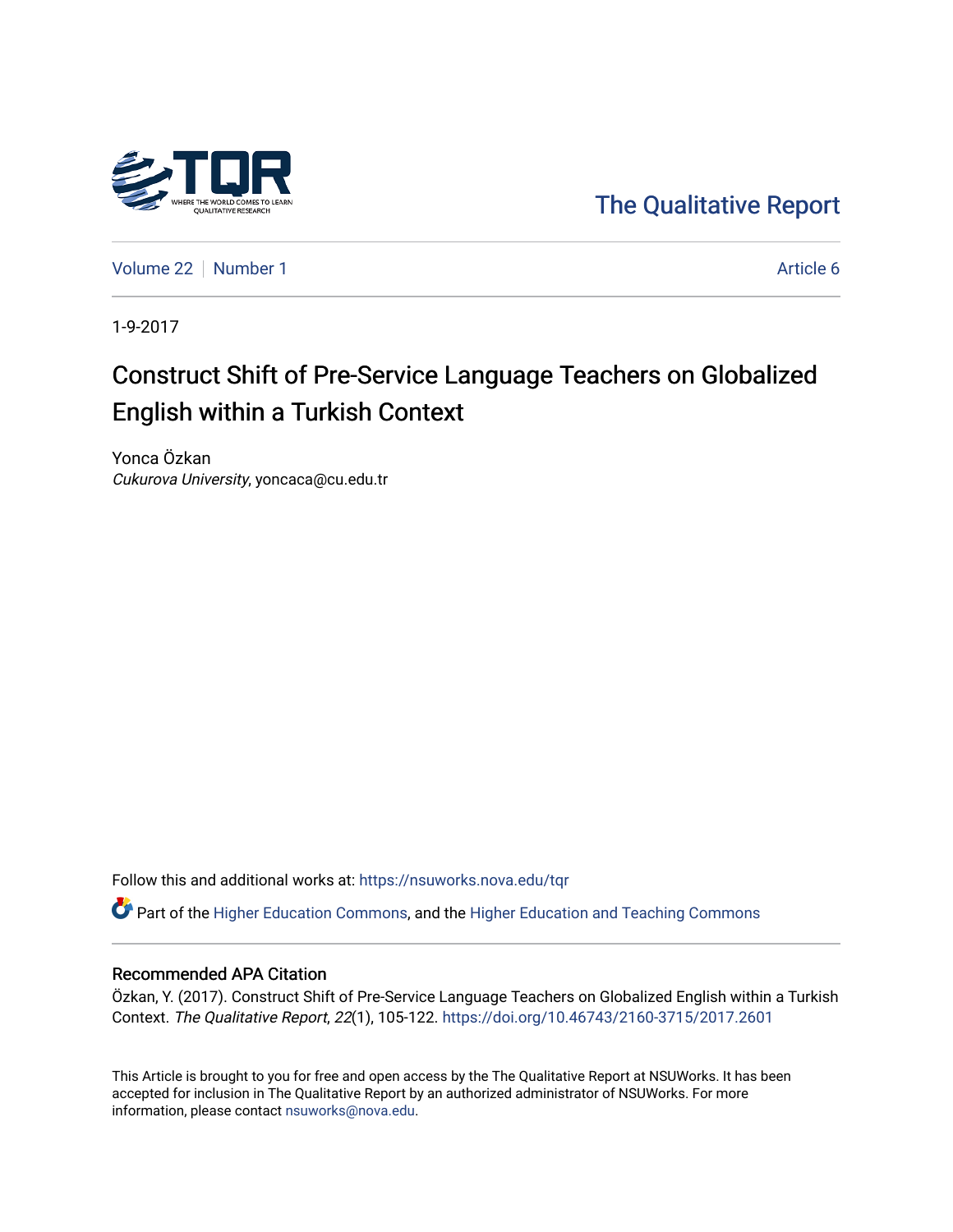

[The Qualitative Report](https://nsuworks.nova.edu/tqr) 

[Volume 22](https://nsuworks.nova.edu/tqr/vol22) [Number 1](https://nsuworks.nova.edu/tqr/vol22/iss1) Article 6

1-9-2017

# Construct Shift of Pre-Service Language Teachers on Globalized English within a Turkish Context

Yonca Özkan Cukurova University, yoncaca@cu.edu.tr

Follow this and additional works at: [https://nsuworks.nova.edu/tqr](https://nsuworks.nova.edu/tqr?utm_source=nsuworks.nova.edu%2Ftqr%2Fvol22%2Fiss1%2F6&utm_medium=PDF&utm_campaign=PDFCoverPages) 

Part of the [Higher Education Commons,](http://network.bepress.com/hgg/discipline/1245?utm_source=nsuworks.nova.edu%2Ftqr%2Fvol22%2Fiss1%2F6&utm_medium=PDF&utm_campaign=PDFCoverPages) and the [Higher Education and Teaching Commons](http://network.bepress.com/hgg/discipline/806?utm_source=nsuworks.nova.edu%2Ftqr%2Fvol22%2Fiss1%2F6&utm_medium=PDF&utm_campaign=PDFCoverPages) 

## Recommended APA Citation

Özkan, Y. (2017). Construct Shift of Pre-Service Language Teachers on Globalized English within a Turkish Context. The Qualitative Report, 22(1), 105-122.<https://doi.org/10.46743/2160-3715/2017.2601>

This Article is brought to you for free and open access by the The Qualitative Report at NSUWorks. It has been accepted for inclusion in The Qualitative Report by an authorized administrator of NSUWorks. For more information, please contact [nsuworks@nova.edu.](mailto:nsuworks@nova.edu)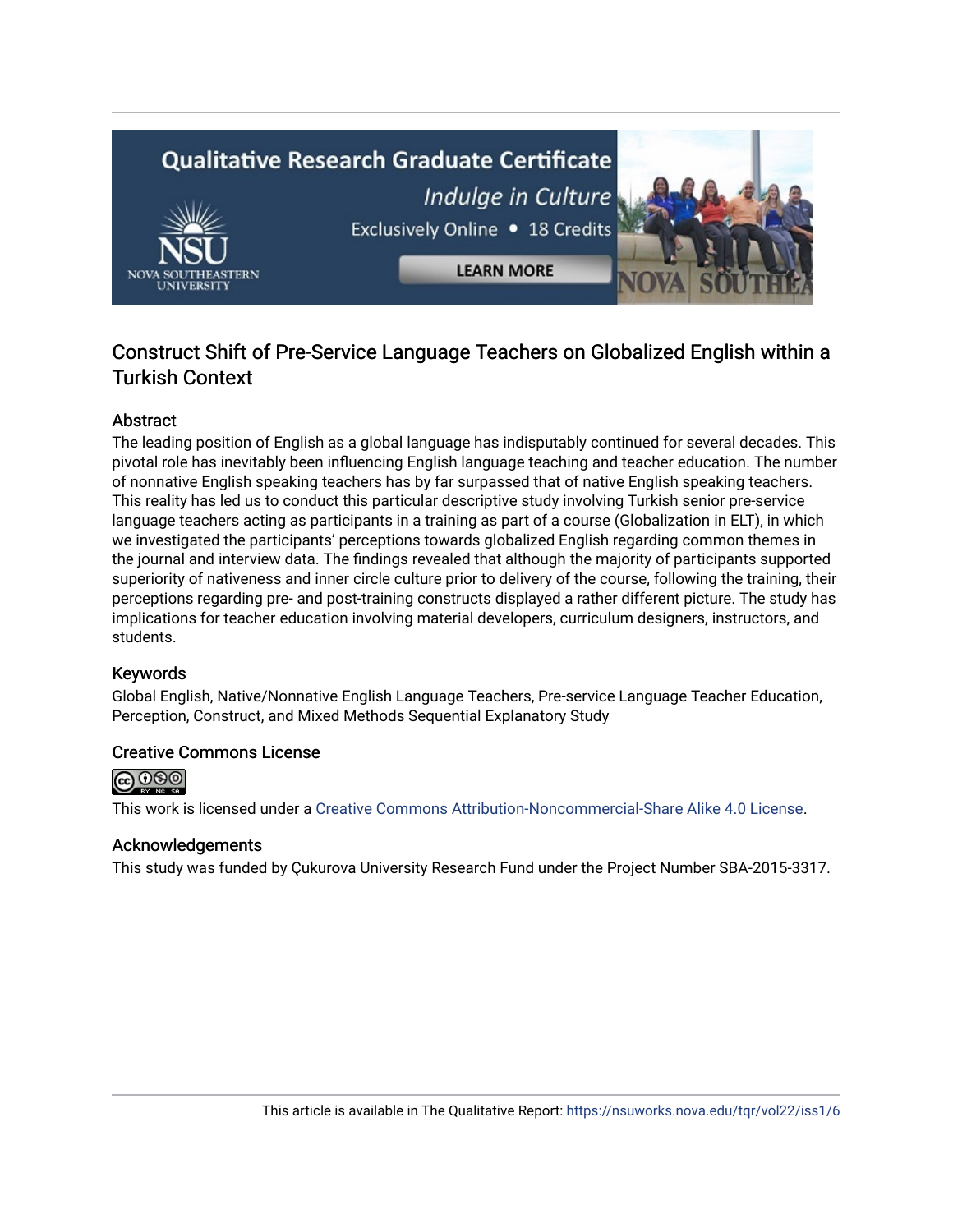# **Qualitative Research Graduate Certificate** Indulge in Culture Exclusively Online . 18 Credits **LEARN MORE**

# Construct Shift of Pre-Service Language Teachers on Globalized English within a Turkish Context

# Abstract

The leading position of English as a global language has indisputably continued for several decades. This pivotal role has inevitably been influencing English language teaching and teacher education. The number of nonnative English speaking teachers has by far surpassed that of native English speaking teachers. This reality has led us to conduct this particular descriptive study involving Turkish senior pre-service language teachers acting as participants in a training as part of a course (Globalization in ELT), in which we investigated the participants' perceptions towards globalized English regarding common themes in the journal and interview data. The findings revealed that although the majority of participants supported superiority of nativeness and inner circle culture prior to delivery of the course, following the training, their perceptions regarding pre- and post-training constructs displayed a rather different picture. The study has implications for teacher education involving material developers, curriculum designers, instructors, and students.

# Keywords

Global English, Native/Nonnative English Language Teachers, Pre-service Language Teacher Education, Perception, Construct, and Mixed Methods Sequential Explanatory Study

# Creative Commons License



This work is licensed under a [Creative Commons Attribution-Noncommercial-Share Alike 4.0 License](https://creativecommons.org/licenses/by-nc-sa/4.0/).

## Acknowledgements

This study was funded by Çukurova University Research Fund under the Project Number SBA-2015-3317.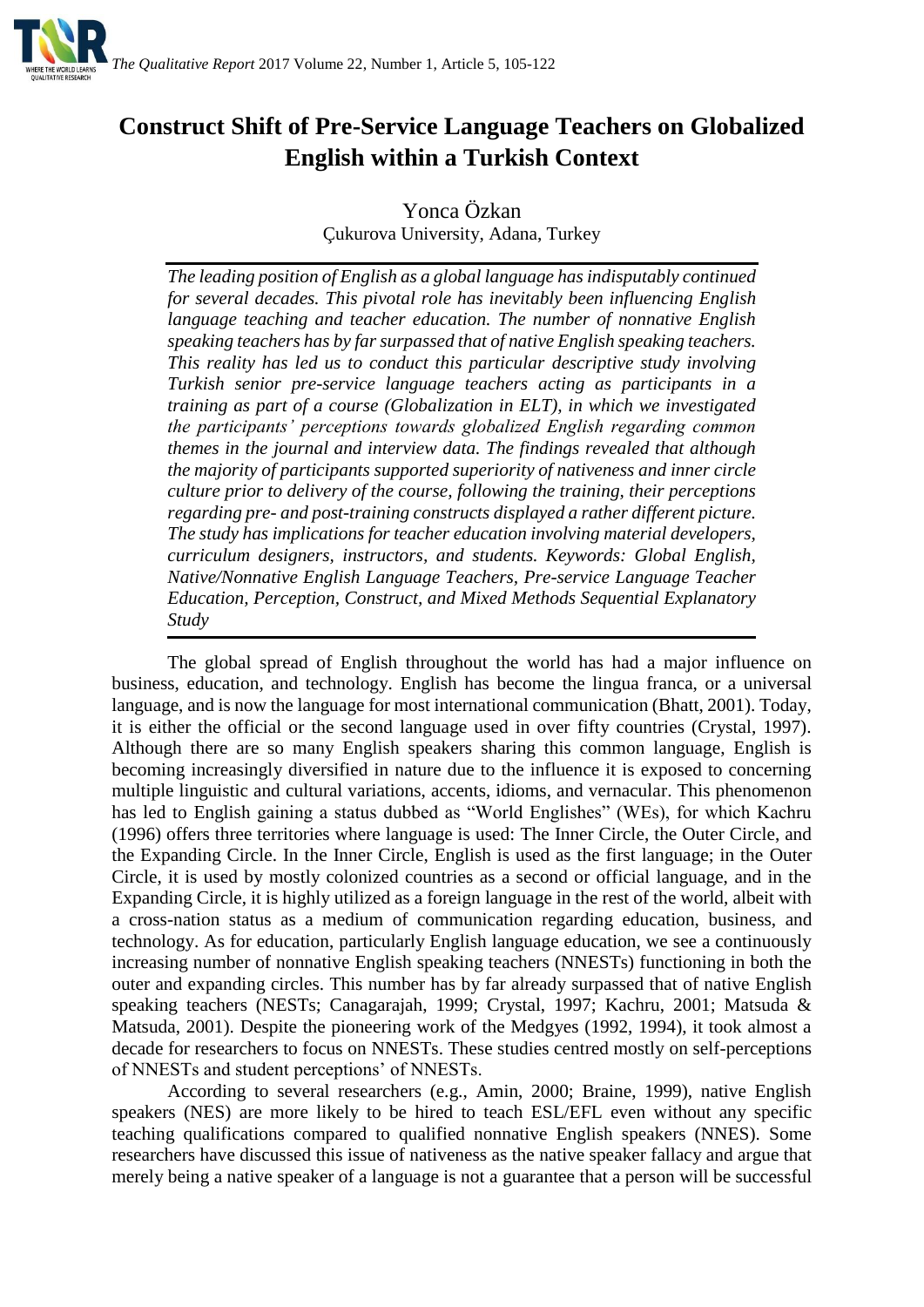

# **Construct Shift of Pre-Service Language Teachers on Globalized English within a Turkish Context**

Yonca Özkan Çukurova University, Adana, Turkey

*The leading position of English as a global language has indisputably continued for several decades. This pivotal role has inevitably been influencing English language teaching and teacher education. The number of nonnative English speaking teachers has by far surpassed that of native English speaking teachers. This reality has led us to conduct this particular descriptive study involving Turkish senior pre-service language teachers acting as participants in a training as part of a course (Globalization in ELT), in which we investigated the participants' perceptions towards globalized English regarding common themes in the journal and interview data. The findings revealed that although the majority of participants supported superiority of nativeness and inner circle culture prior to delivery of the course, following the training, their perceptions regarding pre- and post-training constructs displayed a rather different picture. The study has implications for teacher education involving material developers, curriculum designers, instructors, and students. Keywords: Global English, Native/Nonnative English Language Teachers, Pre-service Language Teacher Education, Perception, Construct, and Mixed Methods Sequential Explanatory Study*

The global spread of English throughout the world has had a major influence on business, education, and technology. English has become the lingua franca, or a universal language, and is now the language for most international communication (Bhatt, 2001). Today, it is either the official or the second language used in over fifty countries (Crystal, 1997). Although there are so many English speakers sharing this common language, English is becoming increasingly diversified in nature due to the influence it is exposed to concerning multiple linguistic and cultural variations, accents, idioms, and vernacular. This phenomenon has led to English gaining a status dubbed as "World Englishes" (WEs), for which Kachru (1996) offers three territories where language is used: The Inner Circle, the Outer Circle, and the Expanding Circle. In the Inner Circle, English is used as the first language; in the Outer Circle, it is used by mostly colonized countries as a second or official language, and in the Expanding Circle, it is highly utilized as a foreign language in the rest of the world, albeit with a cross-nation status as a medium of communication regarding education, business, and technology. As for education, particularly English language education, we see a continuously increasing number of nonnative English speaking teachers (NNESTs) functioning in both the outer and expanding circles. This number has by far already surpassed that of native English speaking teachers (NESTs; Canagarajah, 1999; Crystal, 1997; Kachru, 2001; Matsuda & Matsuda, 2001). Despite the pioneering work of the Medgyes (1992, 1994), it took almost a decade for researchers to focus on NNESTs. These studies centred mostly on self-perceptions of NNESTs and student perceptions' of NNESTs.

According to several researchers (e.g., Amin, 2000; Braine, 1999), native English speakers (NES) are more likely to be hired to teach ESL/EFL even without any specific teaching qualifications compared to qualified nonnative English speakers (NNES). Some researchers have discussed this issue of nativeness as the native speaker fallacy and argue that merely being a native speaker of a language is not a guarantee that a person will be successful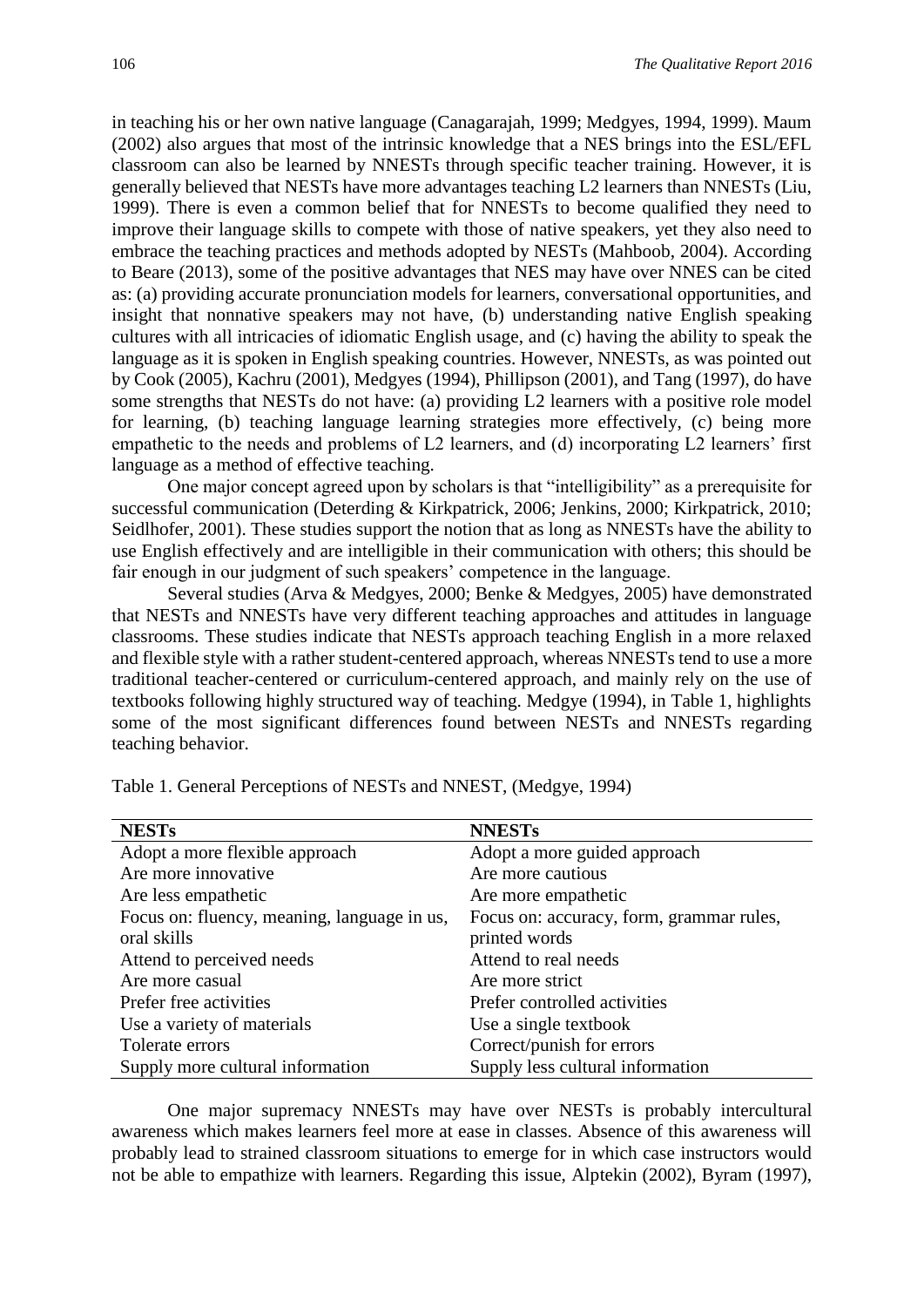in teaching his or her own native language (Canagarajah, 1999; Medgyes, 1994, 1999). Maum (2002) also argues that most of the intrinsic knowledge that a NES brings into the ESL/EFL classroom can also be learned by NNESTs through specific teacher training. However, it is generally believed that NESTs have more advantages teaching L2 learners than NNESTs (Liu, 1999). There is even a common belief that for NNESTs to become qualified they need to improve their language skills to compete with those of native speakers, yet they also need to embrace the teaching practices and methods adopted by NESTs (Mahboob, 2004). According to Beare (2013), some of the positive advantages that NES may have over NNES can be cited as: (a) providing accurate pronunciation models for learners, conversational opportunities, and insight that nonnative speakers may not have, (b) understanding native English speaking cultures with all intricacies of idiomatic English usage, and (c) having the ability to speak the language as it is spoken in English speaking countries. However, NNESTs, as was pointed out by Cook (2005), Kachru (2001), Medgyes (1994), Phillipson (2001), and Tang (1997), do have some strengths that NESTs do not have: (a) providing L2 learners with a positive role model for learning, (b) teaching language learning strategies more effectively, (c) being more empathetic to the needs and problems of L2 learners, and (d) incorporating L2 learners' first language as a method of effective teaching.

One major concept agreed upon by scholars is that "intelligibility" as a prerequisite for successful communication (Deterding & Kirkpatrick, 2006; Jenkins, 2000; Kirkpatrick, 2010; Seidlhofer, 2001). These studies support the notion that as long as NNESTs have the ability to use English effectively and are intelligible in their communication with others; this should be fair enough in our judgment of such speakers' competence in the language.

Several studies (Arva & Medgyes, 2000; Benke & Medgyes, 2005) have demonstrated that NESTs and NNESTs have very different teaching approaches and attitudes in language classrooms. These studies indicate that NESTs approach teaching English in a more relaxed and flexible style with a rather student-centered approach, whereas NNESTs tend to use a more traditional teacher-centered or curriculum-centered approach, and mainly rely on the use of textbooks following highly structured way of teaching. Medgye (1994), in Table 1, highlights some of the most significant differences found between NESTs and NNESTs regarding teaching behavior.

| <b>NESTs</b>                                | <b>NNESTs</b>                            |
|---------------------------------------------|------------------------------------------|
| Adopt a more flexible approach              | Adopt a more guided approach             |
| Are more innovative                         | Are more cautious                        |
| Are less empathetic                         | Are more empathetic                      |
| Focus on: fluency, meaning, language in us, | Focus on: accuracy, form, grammar rules, |
| oral skills                                 | printed words                            |
| Attend to perceived needs                   | Attend to real needs                     |
| Are more casual                             | Are more strict                          |
| Prefer free activities                      | Prefer controlled activities             |
| Use a variety of materials                  | Use a single textbook                    |
| Tolerate errors                             | Correct/punish for errors                |
| Supply more cultural information            | Supply less cultural information         |

Table 1. General Perceptions of NESTs and NNEST, (Medgye, 1994)

One major supremacy NNESTs may have over NESTs is probably intercultural awareness which makes learners feel more at ease in classes. Absence of this awareness will probably lead to strained classroom situations to emerge for in which case instructors would not be able to empathize with learners. Regarding this issue, Alptekin (2002), Byram (1997),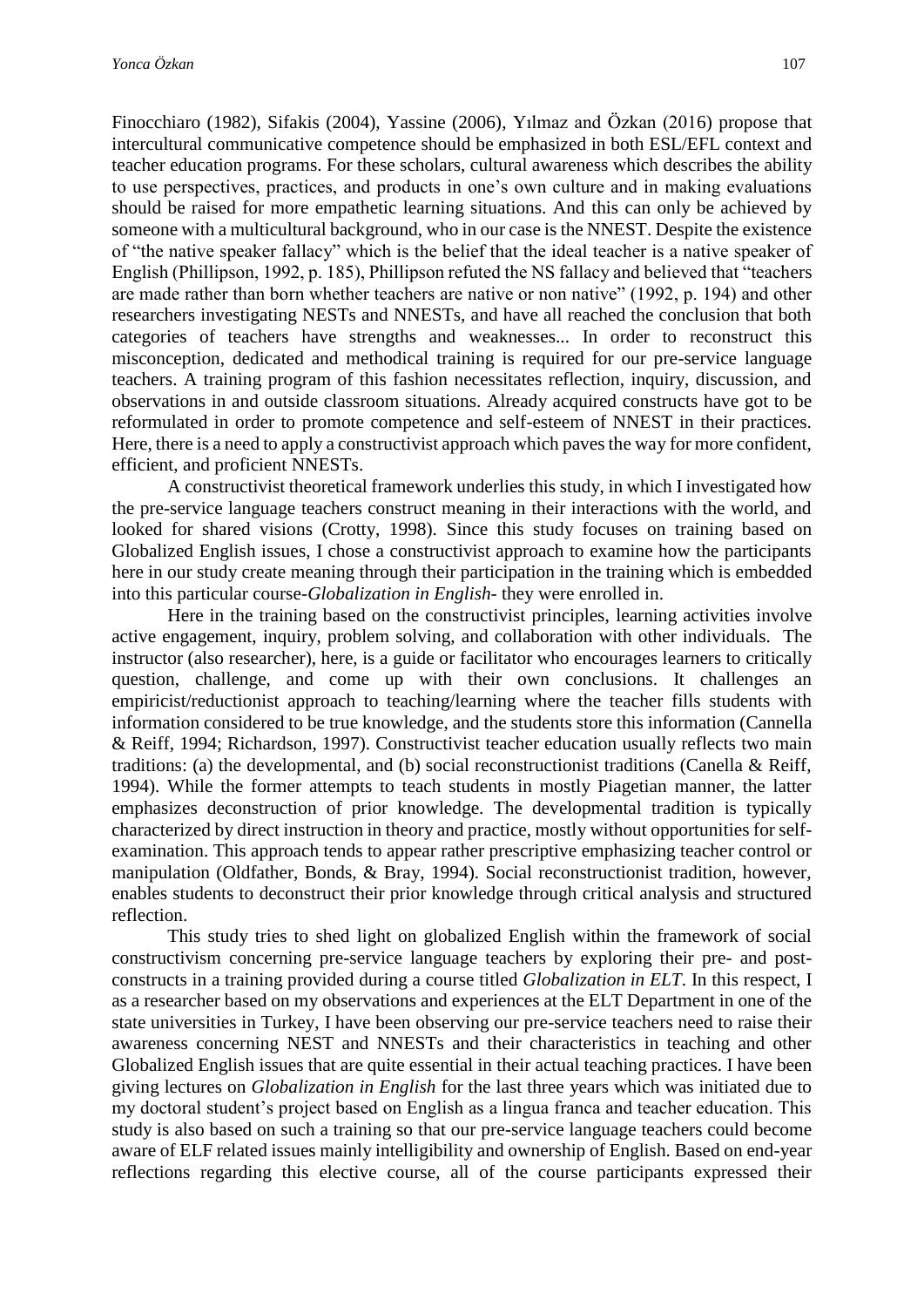Finocchiaro (1982), Sifakis (2004), Yassine (2006), Yılmaz and Özkan (2016) propose that intercultural communicative competence should be emphasized in both ESL/EFL context and teacher education programs. For these scholars, cultural awareness which describes the ability to use perspectives, practices, and products in one's own culture and in making evaluations should be raised for more empathetic learning situations. And this can only be achieved by someone with a multicultural background, who in our case is the NNEST. Despite the existence of "the native speaker fallacy" which is the belief that the ideal teacher is a native speaker of English (Phillipson, 1992, p. 185), Phillipson refuted the NS fallacy and believed that "teachers are made rather than born whether teachers are native or non native" (1992, p. 194) and other researchers investigating NESTs and NNESTs, and have all reached the conclusion that both categories of teachers have strengths and weaknesses... In order to reconstruct this misconception, dedicated and methodical training is required for our pre-service language teachers. A training program of this fashion necessitates reflection, inquiry, discussion, and observations in and outside classroom situations. Already acquired constructs have got to be reformulated in order to promote competence and self-esteem of NNEST in their practices. Here, there is a need to apply a constructivist approach which paves the way for more confident, efficient, and proficient NNESTs.

A constructivist theoretical framework underlies this study, in which I investigated how the pre-service language teachers construct meaning in their interactions with the world, and looked for shared visions (Crotty, 1998). Since this study focuses on training based on Globalized English issues, I chose a constructivist approach to examine how the participants here in our study create meaning through their participation in the training which is embedded into this particular course-*Globalization in English*- they were enrolled in.

Here in the training based on the constructivist principles, learning activities involve active engagement, inquiry, problem solving, and collaboration with other individuals. The instructor (also researcher), here, is a guide or facilitator who encourages learners to critically question, challenge, and come up with their own conclusions. It challenges an empiricist/reductionist approach to teaching/learning where the teacher fills students with information considered to be true knowledge, and the students store this information (Cannella & Reiff, 1994; Richardson, 1997). Constructivist teacher education usually reflects two main traditions: (a) the developmental, and (b) social reconstructionist traditions (Canella & Reiff, 1994). While the former attempts to teach students in mostly Piagetian manner, the latter emphasizes deconstruction of prior knowledge. The developmental tradition is typically characterized by direct instruction in theory and practice, mostly without opportunities for selfexamination. This approach tends to appear rather prescriptive emphasizing teacher control or manipulation (Oldfather, Bonds, & Bray, 1994). Social reconstructionist tradition, however, enables students to deconstruct their prior knowledge through critical analysis and structured reflection.

This study tries to shed light on globalized English within the framework of social constructivism concerning pre-service language teachers by exploring their pre- and postconstructs in a training provided during a course titled *Globalization in ELT*. In this respect, I as a researcher based on my observations and experiences at the ELT Department in one of the state universities in Turkey, I have been observing our pre-service teachers need to raise their awareness concerning NEST and NNESTs and their characteristics in teaching and other Globalized English issues that are quite essential in their actual teaching practices. I have been giving lectures on *Globalization in English* for the last three years which was initiated due to my doctoral student's project based on English as a lingua franca and teacher education. This study is also based on such a training so that our pre-service language teachers could become aware of ELF related issues mainly intelligibility and ownership of English. Based on end-year reflections regarding this elective course, all of the course participants expressed their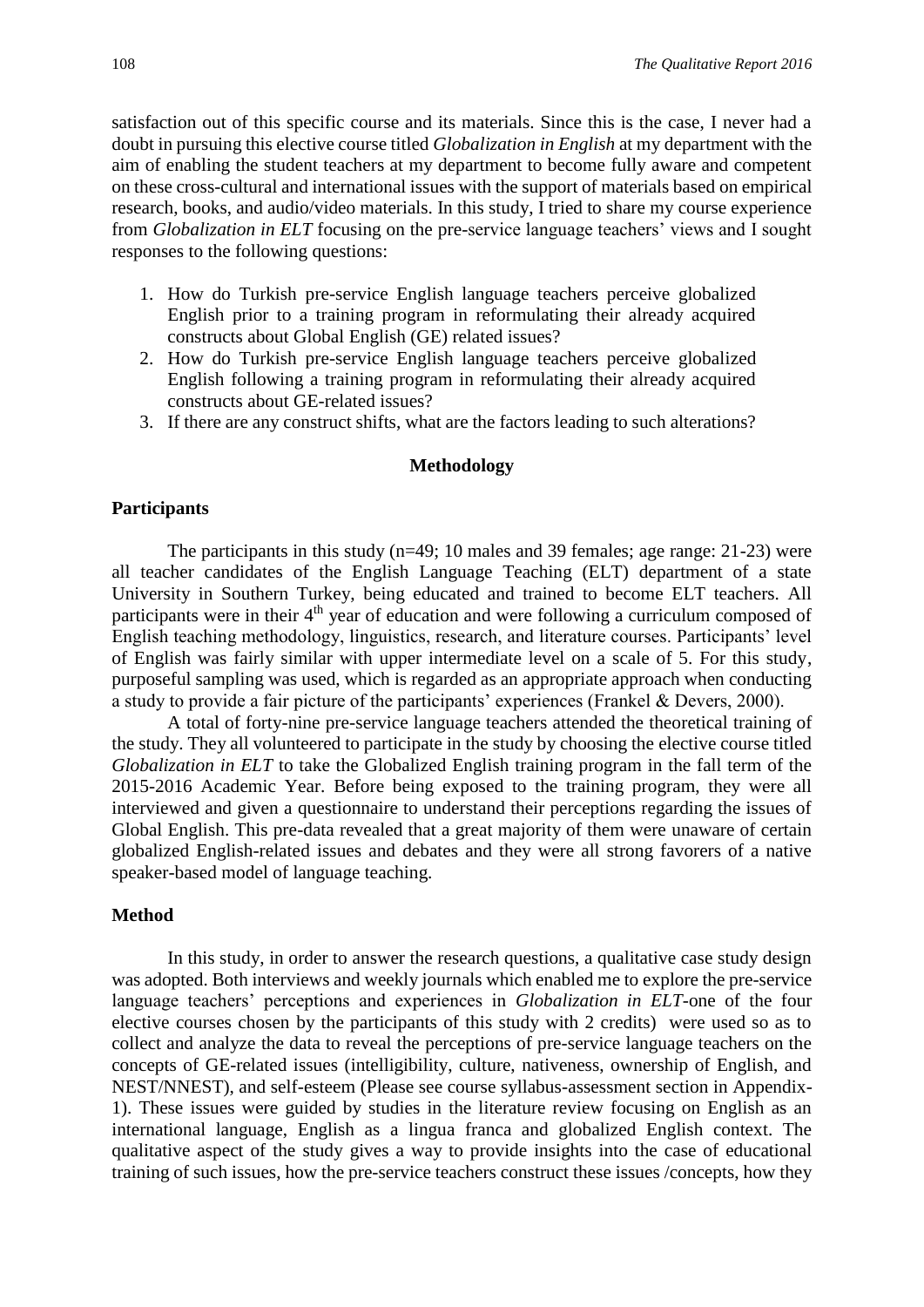satisfaction out of this specific course and its materials. Since this is the case, I never had a doubt in pursuing this elective course titled *Globalization in English* at my department with the aim of enabling the student teachers at my department to become fully aware and competent on these cross-cultural and international issues with the support of materials based on empirical research, books, and audio/video materials. In this study, I tried to share my course experience from *Globalization in ELT* focusing on the pre-service language teachers' views and I sought responses to the following questions:

- 1. How do Turkish pre-service English language teachers perceive globalized English prior to a training program in reformulating their already acquired constructs about Global English (GE) related issues?
- 2. How do Turkish pre-service English language teachers perceive globalized English following a training program in reformulating their already acquired constructs about GE-related issues?
- 3. If there are any construct shifts, what are the factors leading to such alterations?

#### **Methodology**

#### **Participants**

The participants in this study (n=49; 10 males and 39 females; age range: 21-23) were all teacher candidates of the English Language Teaching (ELT) department of a state University in Southern Turkey, being educated and trained to become ELT teachers. All participants were in their 4<sup>th</sup> year of education and were following a curriculum composed of English teaching methodology, linguistics, research, and literature courses. Participants' level of English was fairly similar with upper intermediate level on a scale of 5. For this study, purposeful sampling was used, which is regarded as an appropriate approach when conducting a study to provide a fair picture of the participants' experiences (Frankel & Devers, 2000).

A total of forty-nine pre-service language teachers attended the theoretical training of the study. They all volunteered to participate in the study by choosing the elective course titled *Globalization in ELT* to take the Globalized English training program in the fall term of the 2015-2016 Academic Year. Before being exposed to the training program, they were all interviewed and given a questionnaire to understand their perceptions regarding the issues of Global English. This pre-data revealed that a great majority of them were unaware of certain globalized English-related issues and debates and they were all strong favorers of a native speaker-based model of language teaching.

#### **Method**

In this study, in order to answer the research questions, a qualitative case study design was adopted. Both interviews and weekly journals which enabled me to explore the pre-service language teachers' perceptions and experiences in *Globalization in ELT*-one of the four elective courses chosen by the participants of this study with 2 credits) were used so as to collect and analyze the data to reveal the perceptions of pre-service language teachers on the concepts of GE-related issues (intelligibility, culture, nativeness, ownership of English, and NEST/NNEST), and self-esteem (Please see course syllabus-assessment section in Appendix-1). These issues were guided by studies in the literature review focusing on English as an international language, English as a lingua franca and globalized English context. The qualitative aspect of the study gives a way to provide insights into the case of educational training of such issues, how the pre-service teachers construct these issues /concepts, how they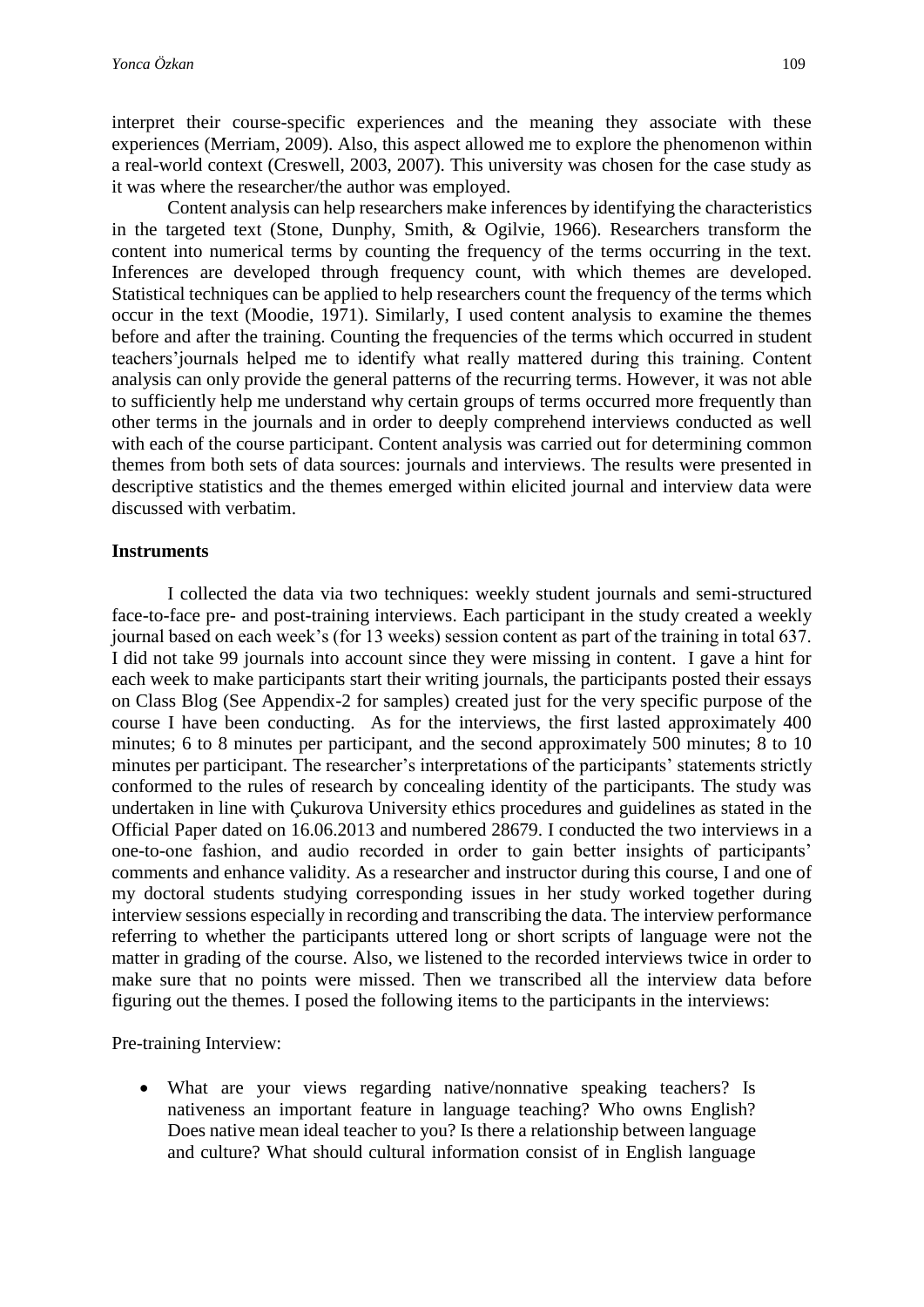interpret their course-specific experiences and the meaning they associate with these experiences (Merriam, 2009). Also, this aspect allowed me to explore the phenomenon within a real-world context (Creswell, 2003, 2007). This university was chosen for the case study as it was where the researcher/the author was employed.

Content analysis can help researchers make inferences by identifying the characteristics in the targeted text (Stone, Dunphy, Smith, & Ogilvie, 1966). Researchers transform the content into numerical terms by counting the frequency of the terms occurring in the text. Inferences are developed through frequency count, with which themes are developed. Statistical techniques can be applied to help researchers count the frequency of the terms which occur in the text (Moodie, 1971). Similarly, I used content analysis to examine the themes before and after the training. Counting the frequencies of the terms which occurred in student teachers'journals helped me to identify what really mattered during this training. Content analysis can only provide the general patterns of the recurring terms. However, it was not able to sufficiently help me understand why certain groups of terms occurred more frequently than other terms in the journals and in order to deeply comprehend interviews conducted as well with each of the course participant. Content analysis was carried out for determining common themes from both sets of data sources: journals and interviews. The results were presented in descriptive statistics and the themes emerged within elicited journal and interview data were discussed with verbatim.

# **Instruments**

I collected the data via two techniques: weekly student journals and semi-structured face-to-face pre- and post-training interviews. Each participant in the study created a weekly journal based on each week's (for 13 weeks) session content as part of the training in total 637. I did not take 99 journals into account since they were missing in content. I gave a hint for each week to make participants start their writing journals, the participants posted their essays on Class Blog (See Appendix-2 for samples) created just for the very specific purpose of the course I have been conducting. As for the interviews, the first lasted approximately 400 minutes; 6 to 8 minutes per participant, and the second approximately 500 minutes; 8 to 10 minutes per participant. The researcher's interpretations of the participants' statements strictly conformed to the rules of research by concealing identity of the participants. The study was undertaken in line with Çukurova University ethics procedures and guidelines as stated in the Official Paper dated on 16.06.2013 and numbered 28679. I conducted the two interviews in a one-to-one fashion, and audio recorded in order to gain better insights of participants' comments and enhance validity. As a researcher and instructor during this course, I and one of my doctoral students studying corresponding issues in her study worked together during interview sessions especially in recording and transcribing the data. The interview performance referring to whether the participants uttered long or short scripts of language were not the matter in grading of the course. Also, we listened to the recorded interviews twice in order to make sure that no points were missed. Then we transcribed all the interview data before figuring out the themes. I posed the following items to the participants in the interviews:

Pre-training Interview:

 What are your views regarding native/nonnative speaking teachers? Is nativeness an important feature in language teaching? Who owns English? Does native mean ideal teacher to you? Is there a relationship between language and culture? What should cultural information consist of in English language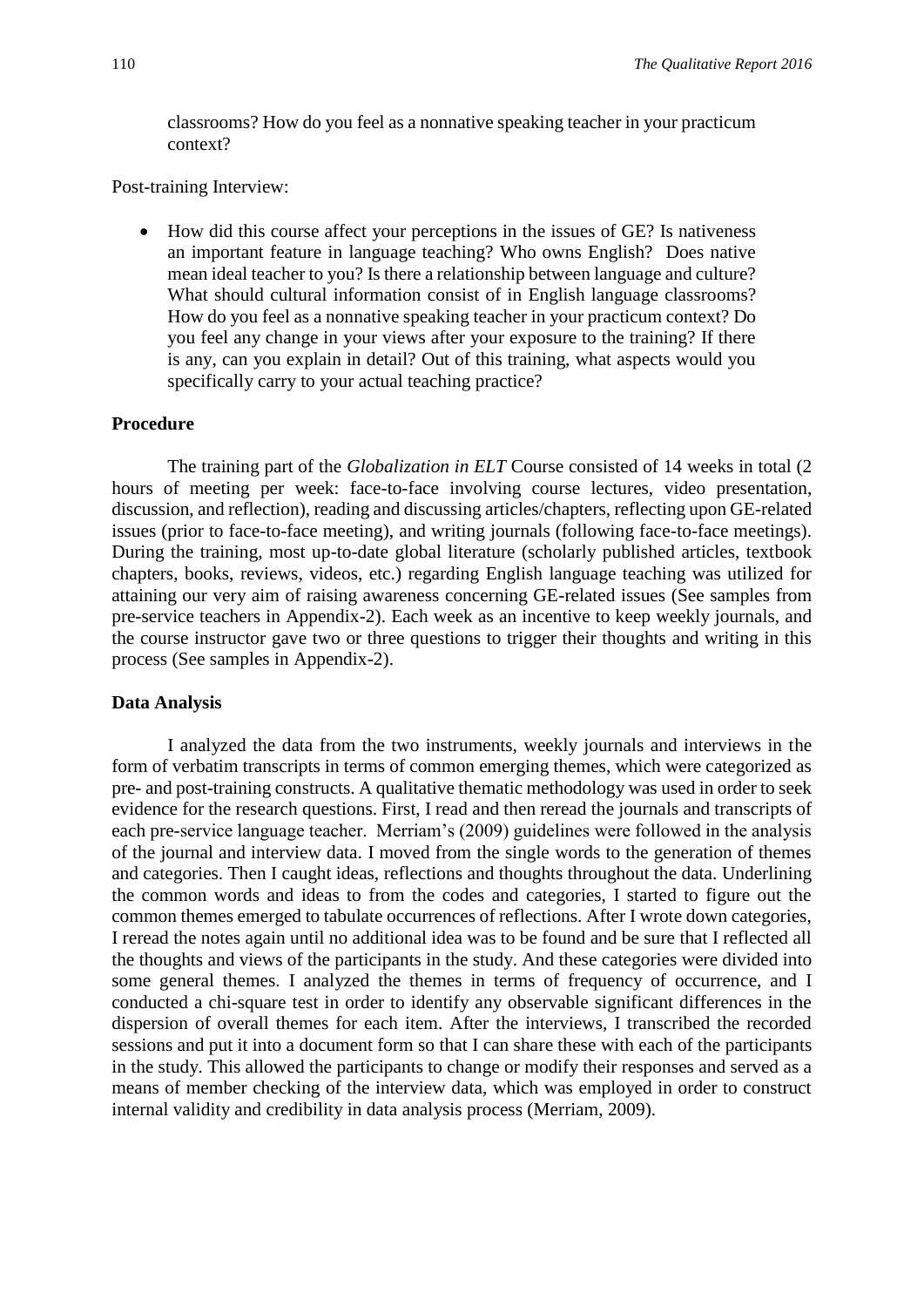classrooms? How do you feel as a nonnative speaking teacher in your practicum context?

Post-training Interview:

 How did this course affect your perceptions in the issues of GE? Is nativeness an important feature in language teaching? Who owns English? Does native mean ideal teacher to you? Is there a relationship between language and culture? What should cultural information consist of in English language classrooms? How do you feel as a nonnative speaking teacher in your practicum context? Do you feel any change in your views after your exposure to the training? If there is any, can you explain in detail? Out of this training, what aspects would you specifically carry to your actual teaching practice?

#### **Procedure**

The training part of the *Globalization in ELT* Course consisted of 14 weeks in total (2 hours of meeting per week: face-to-face involving course lectures, video presentation, discussion, and reflection), reading and discussing articles/chapters, reflecting upon GE-related issues (prior to face-to-face meeting), and writing journals (following face-to-face meetings). During the training, most up-to-date global literature (scholarly published articles, textbook chapters, books, reviews, videos, etc.) regarding English language teaching was utilized for attaining our very aim of raising awareness concerning GE-related issues (See samples from pre-service teachers in Appendix-2). Each week as an incentive to keep weekly journals, and the course instructor gave two or three questions to trigger their thoughts and writing in this process (See samples in Appendix-2).

#### **Data Analysis**

I analyzed the data from the two instruments, weekly journals and interviews in the form of verbatim transcripts in terms of common emerging themes, which were categorized as pre- and post-training constructs. A qualitative thematic methodology was used in order to seek evidence for the research questions. First, I read and then reread the journals and transcripts of each pre-service language teacher. Merriam's (2009) guidelines were followed in the analysis of the journal and interview data. I moved from the single words to the generation of themes and categories. Then I caught ideas, reflections and thoughts throughout the data. Underlining the common words and ideas to from the codes and categories, I started to figure out the common themes emerged to tabulate occurrences of reflections. After I wrote down categories, I reread the notes again until no additional idea was to be found and be sure that I reflected all the thoughts and views of the participants in the study. And these categories were divided into some general themes. I analyzed the themes in terms of frequency of occurrence, and I conducted a chi-square test in order to identify any observable significant differences in the dispersion of overall themes for each item. After the interviews, I transcribed the recorded sessions and put it into a document form so that I can share these with each of the participants in the study. This allowed the participants to change or modify their responses and served as a means of member checking of the interview data, which was employed in order to construct internal validity and credibility in data analysis process (Merriam, 2009).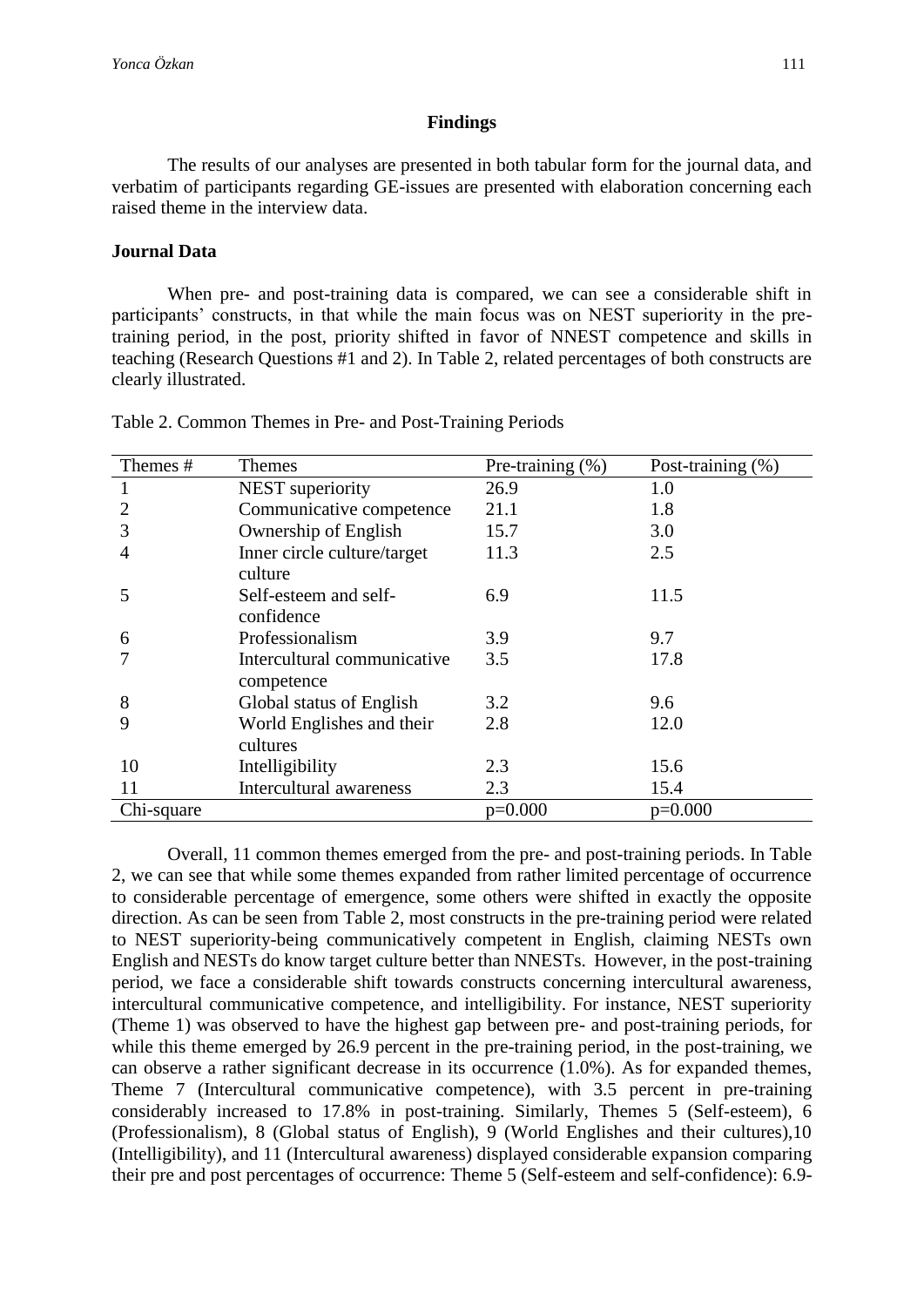#### **Findings**

The results of our analyses are presented in both tabular form for the journal data, and verbatim of participants regarding GE-issues are presented with elaboration concerning each raised theme in the interview data.

# **Journal Data**

When pre- and post-training data is compared, we can see a considerable shift in participants' constructs, in that while the main focus was on NEST superiority in the pretraining period, in the post, priority shifted in favor of NNEST competence and skills in teaching (Research Questions #1 and 2). In Table 2, related percentages of both constructs are clearly illustrated.

| Themes #   | <b>Themes</b>                             | Pre-training (%) | Post-training (%) |
|------------|-------------------------------------------|------------------|-------------------|
|            | NEST superiority                          | 26.9             | 1.0               |
| 2          | Communicative competence                  | 21.1             | 1.8               |
| 3          | Ownership of English                      | 15.7             | 3.0               |
| 4          | Inner circle culture/target<br>culture    | 11.3             | 2.5               |
| 5          | Self-esteem and self-<br>confidence       | 6.9              | 11.5              |
| 6          | Professionalism                           | 3.9              | 9.7               |
|            | Intercultural communicative<br>competence | 3.5              | 17.8              |
| 8          | Global status of English                  | 3.2              | 9.6               |
| 9          | World Englishes and their<br>cultures     | 2.8              | 12.0              |
| 10         | Intelligibility                           | 2.3              | 15.6              |
| 11         | Intercultural awareness                   | 2.3              | 15.4              |
| Chi-square |                                           | $p=0.000$        | $p=0.000$         |

Table 2. Common Themes in Pre- and Post-Training Periods

Overall, 11 common themes emerged from the pre- and post-training periods. In Table 2, we can see that while some themes expanded from rather limited percentage of occurrence to considerable percentage of emergence, some others were shifted in exactly the opposite direction. As can be seen from Table 2, most constructs in the pre-training period were related to NEST superiority-being communicatively competent in English, claiming NESTs own English and NESTs do know target culture better than NNESTs. However, in the post-training period, we face a considerable shift towards constructs concerning intercultural awareness, intercultural communicative competence, and intelligibility. For instance, NEST superiority (Theme 1) was observed to have the highest gap between pre- and post-training periods, for while this theme emerged by 26.9 percent in the pre-training period, in the post-training, we can observe a rather significant decrease in its occurrence (1.0%). As for expanded themes, Theme 7 (Intercultural communicative competence), with 3.5 percent in pre-training considerably increased to 17.8% in post-training. Similarly, Themes 5 (Self-esteem), 6 (Professionalism), 8 (Global status of English), 9 (World Englishes and their cultures),10 (Intelligibility), and 11 (Intercultural awareness) displayed considerable expansion comparing their pre and post percentages of occurrence: Theme 5 (Self-esteem and self-confidence): 6.9-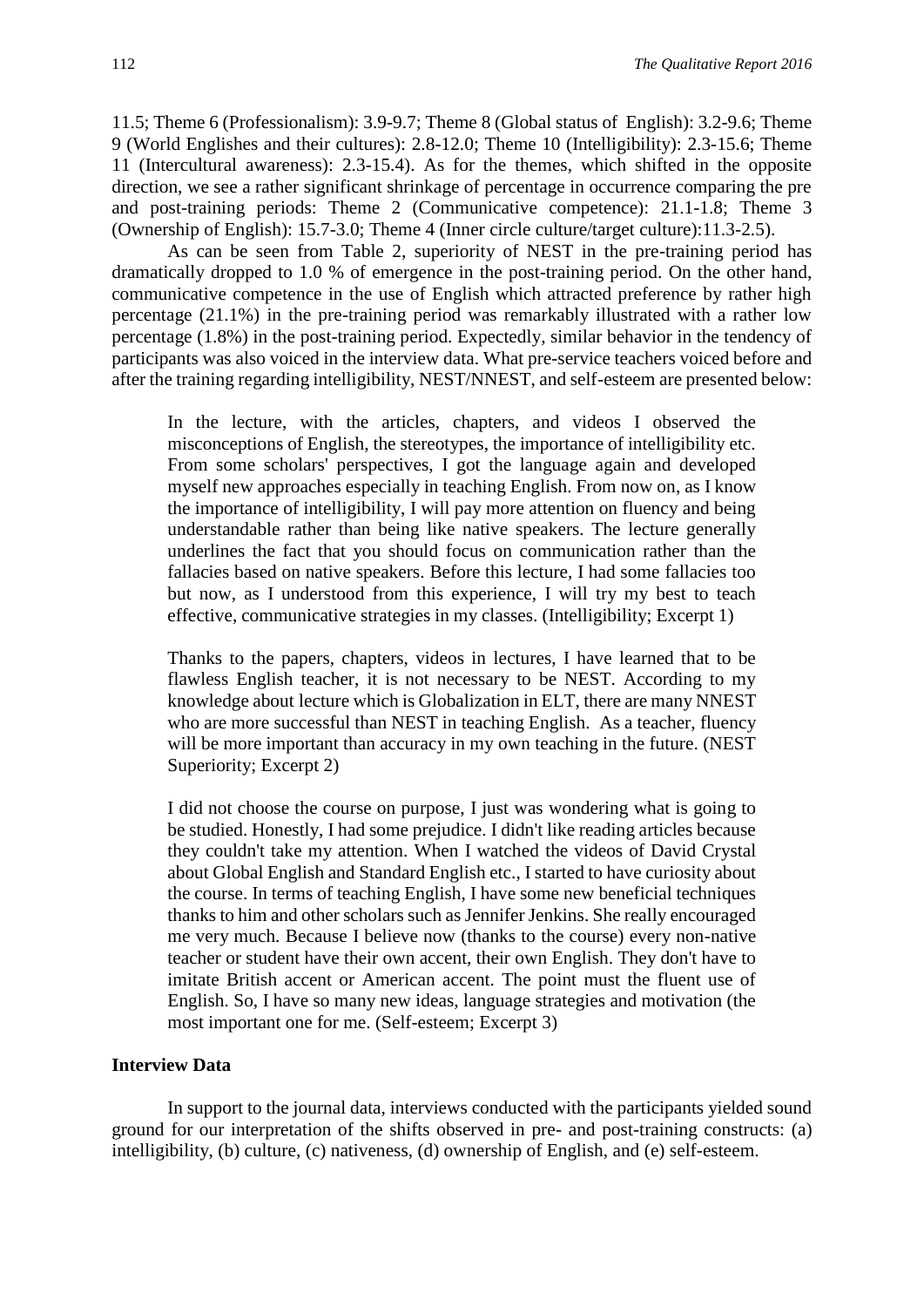11.5; Theme 6 (Professionalism): 3.9-9.7; Theme 8 (Global status of English): 3.2-9.6; Theme 9 (World Englishes and their cultures): 2.8-12.0; Theme 10 (Intelligibility): 2.3-15.6; Theme 11 (Intercultural awareness): 2.3-15.4). As for the themes, which shifted in the opposite direction, we see a rather significant shrinkage of percentage in occurrence comparing the pre and post-training periods: Theme 2 (Communicative competence): 21.1-1.8; Theme 3 (Ownership of English): 15.7-3.0; Theme 4 (Inner circle culture/target culture):11.3-2.5).

As can be seen from Table 2, superiority of NEST in the pre-training period has dramatically dropped to 1.0 % of emergence in the post-training period. On the other hand, communicative competence in the use of English which attracted preference by rather high percentage (21.1%) in the pre-training period was remarkably illustrated with a rather low percentage (1.8%) in the post-training period. Expectedly, similar behavior in the tendency of participants was also voiced in the interview data. What pre-service teachers voiced before and after the training regarding intelligibility, NEST/NNEST, and self-esteem are presented below:

In the lecture, with the articles, chapters, and videos I observed the misconceptions of English, the stereotypes, the importance of intelligibility etc. From some scholars' perspectives, I got the language again and developed myself new approaches especially in teaching English. From now on, as I know the importance of intelligibility, I will pay more attention on fluency and being understandable rather than being like native speakers. The lecture generally underlines the fact that you should focus on communication rather than the fallacies based on native speakers. Before this lecture, I had some fallacies too but now, as I understood from this experience, I will try my best to teach effective, communicative strategies in my classes. (Intelligibility; Excerpt 1)

Thanks to the papers, chapters, videos in lectures, I have learned that to be flawless English teacher, it is not necessary to be NEST. According to my knowledge about lecture which is Globalization in ELT, there are many NNEST who are more successful than NEST in teaching English. As a teacher, fluency will be more important than accuracy in my own teaching in the future. (NEST Superiority; Excerpt 2)

I did not choose the course on purpose, I just was wondering what is going to be studied. Honestly, I had some prejudice. I didn't like reading articles because they couldn't take my attention. When I watched the videos of David Crystal about Global English and Standard English etc., I started to have curiosity about the course. In terms of teaching English, I have some new beneficial techniques thanks to him and other scholars such as Jennifer Jenkins. She really encouraged me very much. Because I believe now (thanks to the course) every non-native teacher or student have their own accent, their own English. They don't have to imitate British accent or American accent. The point must the fluent use of English. So, I have so many new ideas, language strategies and motivation (the most important one for me. (Self-esteem; Excerpt 3)

# **Interview Data**

In support to the journal data, interviews conducted with the participants yielded sound ground for our interpretation of the shifts observed in pre- and post-training constructs: (a) intelligibility, (b) culture, (c) nativeness, (d) ownership of English, and (e) self-esteem.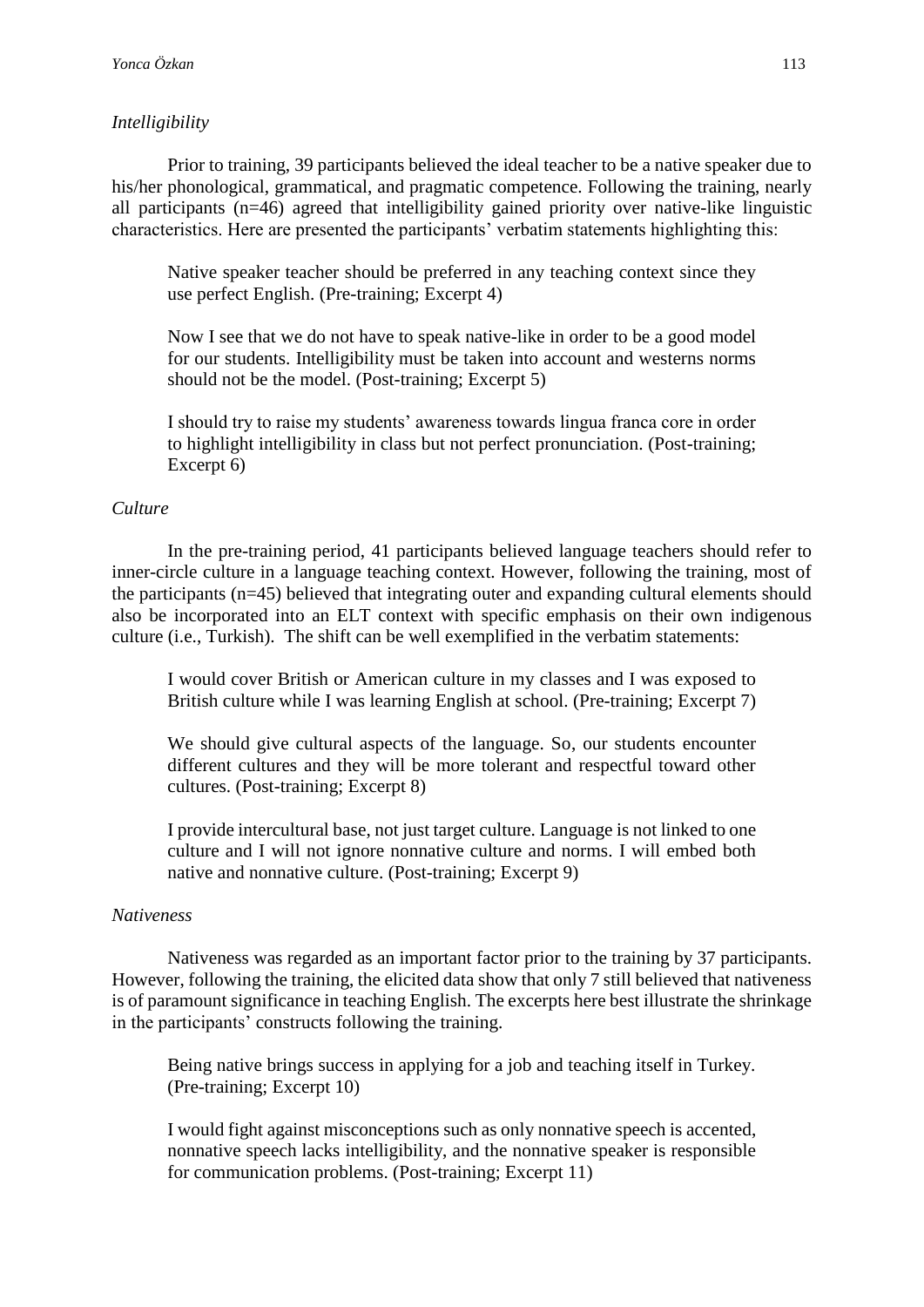#### *Intelligibility*

Prior to training, 39 participants believed the ideal teacher to be a native speaker due to his/her phonological, grammatical, and pragmatic competence. Following the training, nearly all participants (n=46) agreed that intelligibility gained priority over native-like linguistic characteristics. Here are presented the participants' verbatim statements highlighting this:

Native speaker teacher should be preferred in any teaching context since they use perfect English. (Pre-training; Excerpt 4)

Now I see that we do not have to speak native-like in order to be a good model for our students. Intelligibility must be taken into account and westerns norms should not be the model. (Post-training; Excerpt 5)

I should try to raise my students' awareness towards lingua franca core in order to highlight intelligibility in class but not perfect pronunciation. (Post-training; Excerpt 6)

## *Culture*

In the pre-training period, 41 participants believed language teachers should refer to inner-circle culture in a language teaching context. However, following the training, most of the participants (n=45) believed that integrating outer and expanding cultural elements should also be incorporated into an ELT context with specific emphasis on their own indigenous culture (i.e., Turkish). The shift can be well exemplified in the verbatim statements:

I would cover British or American culture in my classes and I was exposed to British culture while I was learning English at school. (Pre-training; Excerpt 7)

We should give cultural aspects of the language. So, our students encounter different cultures and they will be more tolerant and respectful toward other cultures. (Post-training; Excerpt 8)

I provide intercultural base, not just target culture. Language is not linked to one culture and I will not ignore nonnative culture and norms. I will embed both native and nonnative culture. (Post-training; Excerpt 9)

#### *Nativeness*

Nativeness was regarded as an important factor prior to the training by 37 participants. However, following the training, the elicited data show that only 7 still believed that nativeness is of paramount significance in teaching English. The excerpts here best illustrate the shrinkage in the participants' constructs following the training.

Being native brings success in applying for a job and teaching itself in Turkey. (Pre-training; Excerpt 10)

I would fight against misconceptions such as only nonnative speech is accented, nonnative speech lacks intelligibility, and the nonnative speaker is responsible for communication problems. (Post-training; Excerpt 11)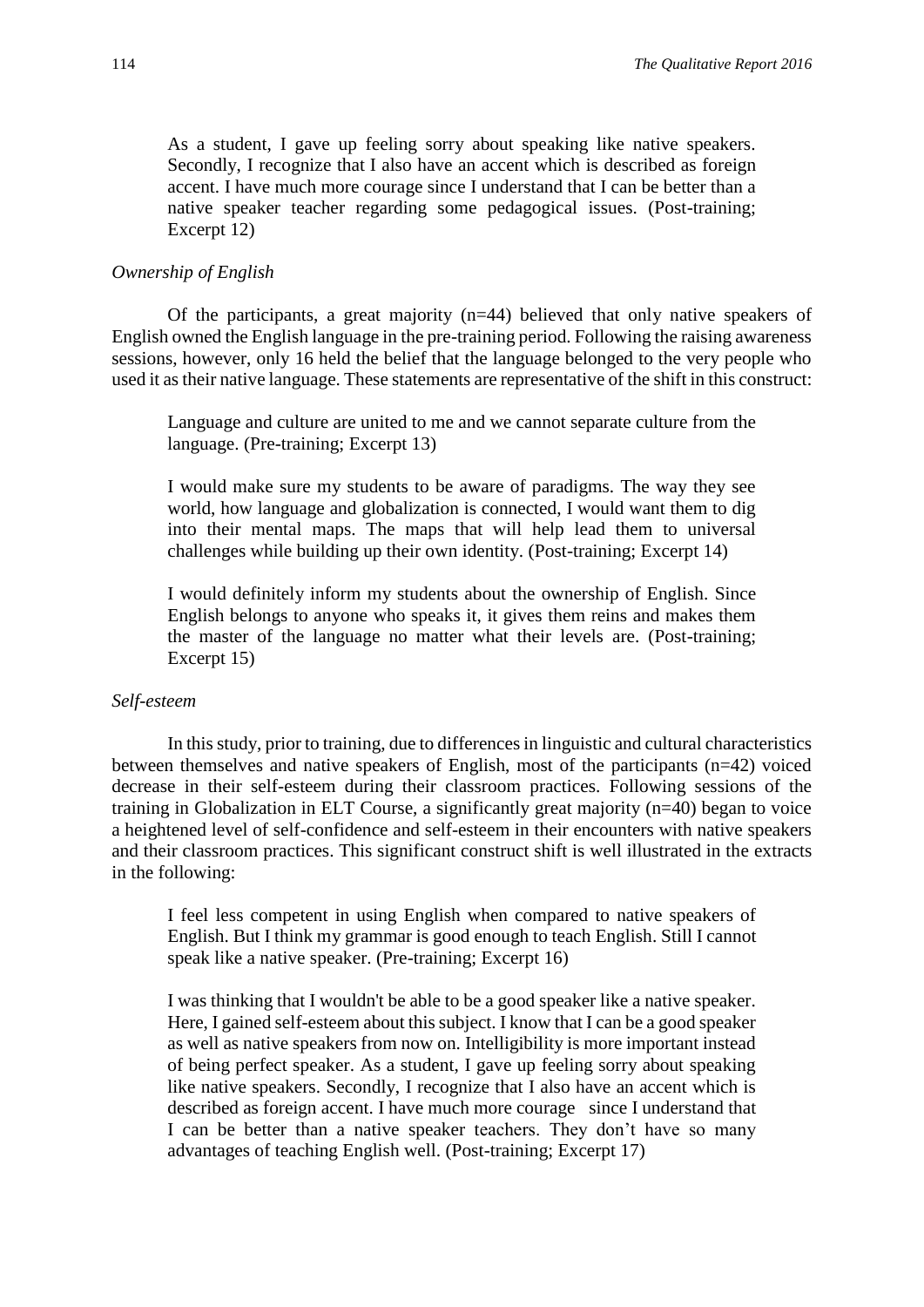As a student, I gave up feeling sorry about speaking like native speakers. Secondly, I recognize that I also have an accent which is described as foreign accent. I have much more courage since I understand that I can be better than a native speaker teacher regarding some pedagogical issues. (Post-training; Excerpt 12)

## *Ownership of English*

Of the participants, a great majority (n=44) believed that only native speakers of English owned the English language in the pre-training period. Following the raising awareness sessions, however, only 16 held the belief that the language belonged to the very people who used it as their native language. These statements are representative of the shift in this construct:

Language and culture are united to me and we cannot separate culture from the language. (Pre-training; Excerpt 13)

I would make sure my students to be aware of paradigms. The way they see world, how language and globalization is connected, I would want them to dig into their mental maps. The maps that will help lead them to universal challenges while building up their own identity. (Post-training; Excerpt 14)

I would definitely inform my students about the ownership of English. Since English belongs to anyone who speaks it, it gives them reins and makes them the master of the language no matter what their levels are. (Post-training; Excerpt 15)

#### *Self-esteem*

In this study, prior to training, due to differences in linguistic and cultural characteristics between themselves and native speakers of English, most of the participants (n=42) voiced decrease in their self-esteem during their classroom practices. Following sessions of the training in Globalization in ELT Course, a significantly great majority (n=40) began to voice a heightened level of self-confidence and self-esteem in their encounters with native speakers and their classroom practices. This significant construct shift is well illustrated in the extracts in the following:

I feel less competent in using English when compared to native speakers of English. But I think my grammar is good enough to teach English. Still I cannot speak like a native speaker. (Pre-training; Excerpt 16)

I was thinking that I wouldn't be able to be a good speaker like a native speaker. Here, I gained self-esteem about this subject. I know that I can be a good speaker as well as native speakers from now on. Intelligibility is more important instead of being perfect speaker. As a student, I gave up feeling sorry about speaking like native speakers. Secondly, I recognize that I also have an accent which is described as foreign accent. I have much more courage since I understand that I can be better than a native speaker teachers. They don't have so many advantages of teaching English well. (Post-training; Excerpt 17)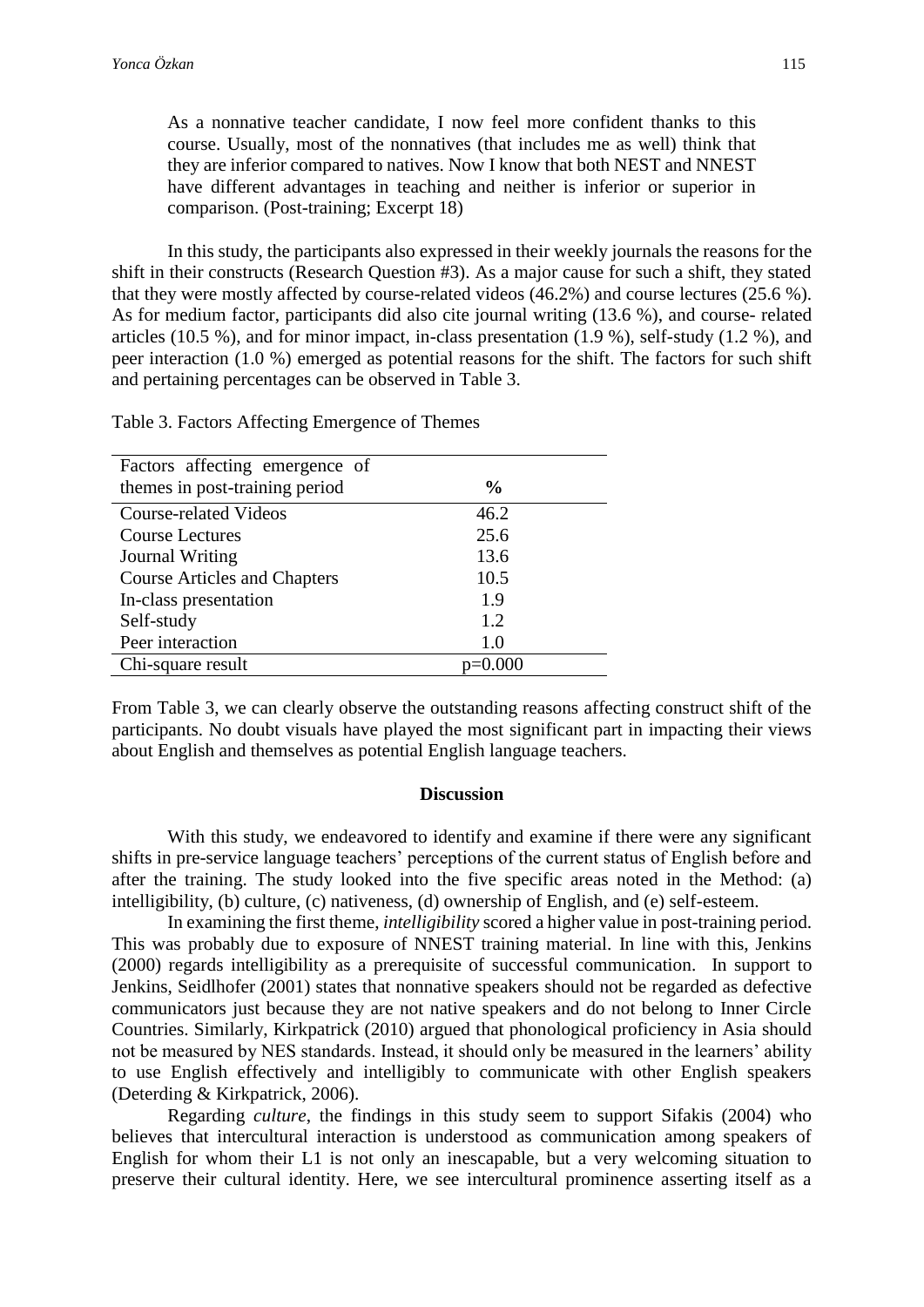As a nonnative teacher candidate, I now feel more confident thanks to this course. Usually, most of the nonnatives (that includes me as well) think that they are inferior compared to natives. Now I know that both NEST and NNEST have different advantages in teaching and neither is inferior or superior in comparison. (Post-training; Excerpt 18)

In this study, the participants also expressed in their weekly journals the reasons for the shift in their constructs (Research Question #3). As a major cause for such a shift, they stated that they were mostly affected by course-related videos (46.2%) and course lectures (25.6 %). As for medium factor, participants did also cite journal writing (13.6 %), and course- related articles (10.5 %), and for minor impact, in-class presentation (1.9 %), self-study (1.2 %), and peer interaction (1.0 %) emerged as potential reasons for the shift. The factors for such shift and pertaining percentages can be observed in Table 3.

Table 3. Factors Affecting Emergence of Themes

| Factors affecting emergence of      |               |
|-------------------------------------|---------------|
| themes in post-training period      | $\frac{0}{0}$ |
| <b>Course-related Videos</b>        | 46.2          |
| <b>Course Lectures</b>              | 25.6          |
| Journal Writing                     | 13.6          |
| <b>Course Articles and Chapters</b> | 10.5          |
| In-class presentation               | 1.9           |
| Self-study                          | 1.2           |
| Peer interaction                    | 1.0           |
| Chi-square result                   |               |

From Table 3, we can clearly observe the outstanding reasons affecting construct shift of the participants. No doubt visuals have played the most significant part in impacting their views about English and themselves as potential English language teachers.

# **Discussion**

With this study, we endeavored to identify and examine if there were any significant shifts in pre-service language teachers' perceptions of the current status of English before and after the training. The study looked into the five specific areas noted in the Method: (a) intelligibility, (b) culture, (c) nativeness, (d) ownership of English, and (e) self-esteem.

In examining the first theme, *intelligibility* scored a higher value in post-training period. This was probably due to exposure of NNEST training material. In line with this, Jenkins (2000) regards intelligibility as a prerequisite of successful communication. In support to Jenkins, Seidlhofer (2001) states that nonnative speakers should not be regarded as defective communicators just because they are not native speakers and do not belong to Inner Circle Countries. Similarly, Kirkpatrick (2010) argued that phonological proficiency in Asia should not be measured by NES standards. Instead, it should only be measured in the learners' ability to use English effectively and intelligibly to communicate with other English speakers (Deterding & Kirkpatrick, 2006).

Regarding *culture*, the findings in this study seem to support Sifakis (2004) who believes that intercultural interaction is understood as communication among speakers of English for whom their L1 is not only an inescapable, but a very welcoming situation to preserve their cultural identity. Here, we see intercultural prominence asserting itself as a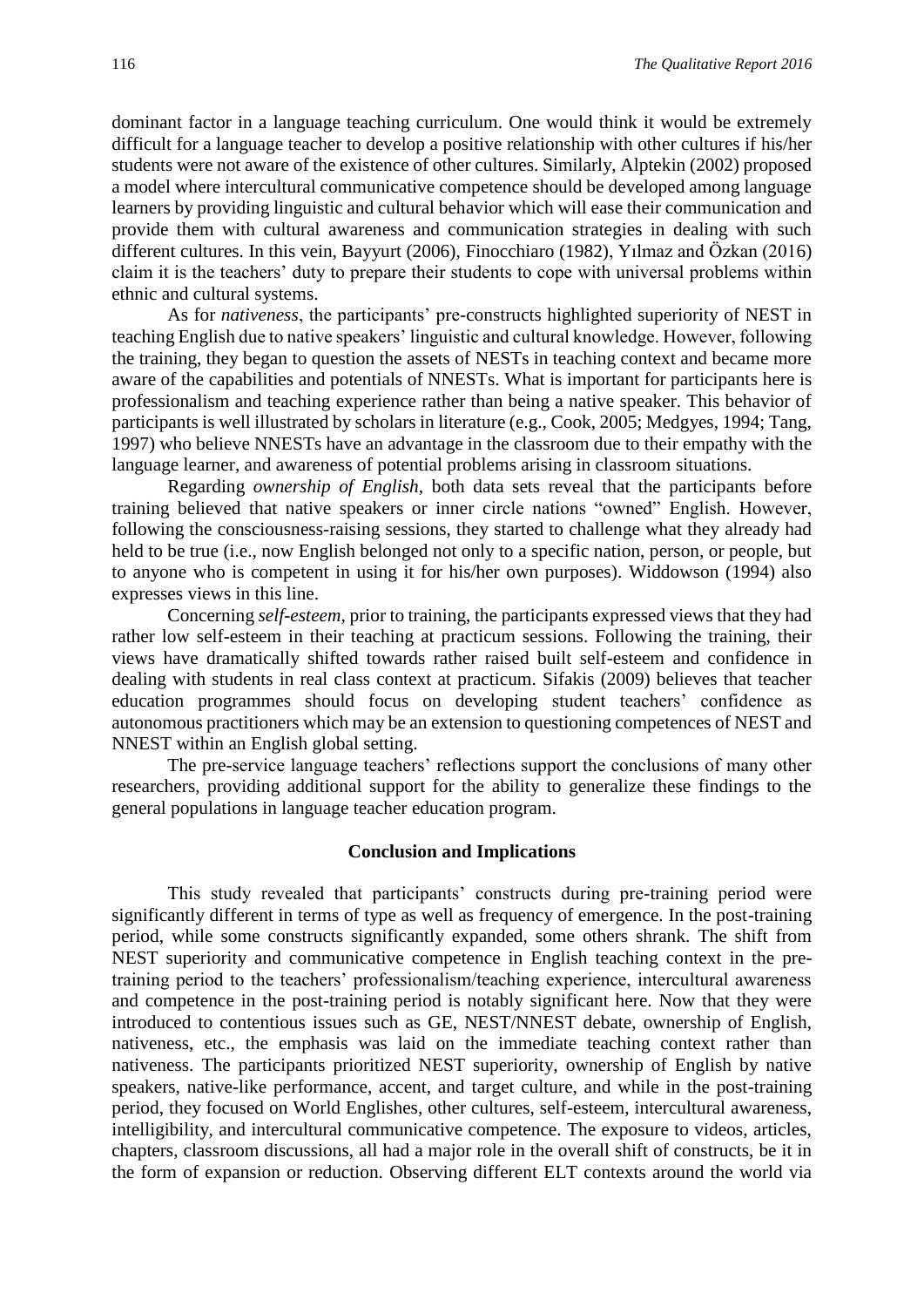dominant factor in a language teaching curriculum. One would think it would be extremely difficult for a language teacher to develop a positive relationship with other cultures if his/her students were not aware of the existence of other cultures. Similarly, Alptekin (2002) proposed a model where intercultural communicative competence should be developed among language learners by providing linguistic and cultural behavior which will ease their communication and provide them with cultural awareness and communication strategies in dealing with such different cultures. In this vein, Bayyurt (2006), Finocchiaro (1982), Yılmaz and Özkan (2016) claim it is the teachers' duty to prepare their students to cope with universal problems within ethnic and cultural systems.

As for *nativeness*, the participants' pre-constructs highlighted superiority of NEST in teaching English due to native speakers' linguistic and cultural knowledge. However, following the training, they began to question the assets of NESTs in teaching context and became more aware of the capabilities and potentials of NNESTs. What is important for participants here is professionalism and teaching experience rather than being a native speaker. This behavior of participants is well illustrated by scholars in literature (e.g., Cook, 2005; Medgyes, 1994; Tang, 1997) who believe NNESTs have an advantage in the classroom due to their empathy with the language learner, and awareness of potential problems arising in classroom situations.

Regarding *ownership of English,* both data sets reveal that the participants before training believed that native speakers or inner circle nations "owned" English. However, following the consciousness-raising sessions, they started to challenge what they already had held to be true (i.e., now English belonged not only to a specific nation, person, or people, but to anyone who is competent in using it for his/her own purposes). Widdowson (1994) also expresses views in this line.

Concerning *self-esteem,* prior to training, the participants expressed views that they had rather low self-esteem in their teaching at practicum sessions. Following the training, their views have dramatically shifted towards rather raised built self-esteem and confidence in dealing with students in real class context at practicum. Sifakis (2009) believes that teacher education programmes should focus on developing student teachers' confidence as autonomous practitioners which may be an extension to questioning competences of NEST and NNEST within an English global setting.

The pre-service language teachers' reflections support the conclusions of many other researchers, providing additional support for the ability to generalize these findings to the general populations in language teacher education program.

#### **Conclusion and Implications**

This study revealed that participants' constructs during pre-training period were significantly different in terms of type as well as frequency of emergence. In the post-training period, while some constructs significantly expanded, some others shrank. The shift from NEST superiority and communicative competence in English teaching context in the pretraining period to the teachers' professionalism/teaching experience, intercultural awareness and competence in the post-training period is notably significant here. Now that they were introduced to contentious issues such as GE, NEST/NNEST debate, ownership of English, nativeness, etc., the emphasis was laid on the immediate teaching context rather than nativeness. The participants prioritized NEST superiority, ownership of English by native speakers, native-like performance, accent, and target culture, and while in the post-training period, they focused on World Englishes, other cultures, self-esteem, intercultural awareness, intelligibility, and intercultural communicative competence. The exposure to videos, articles, chapters, classroom discussions, all had a major role in the overall shift of constructs, be it in the form of expansion or reduction. Observing different ELT contexts around the world via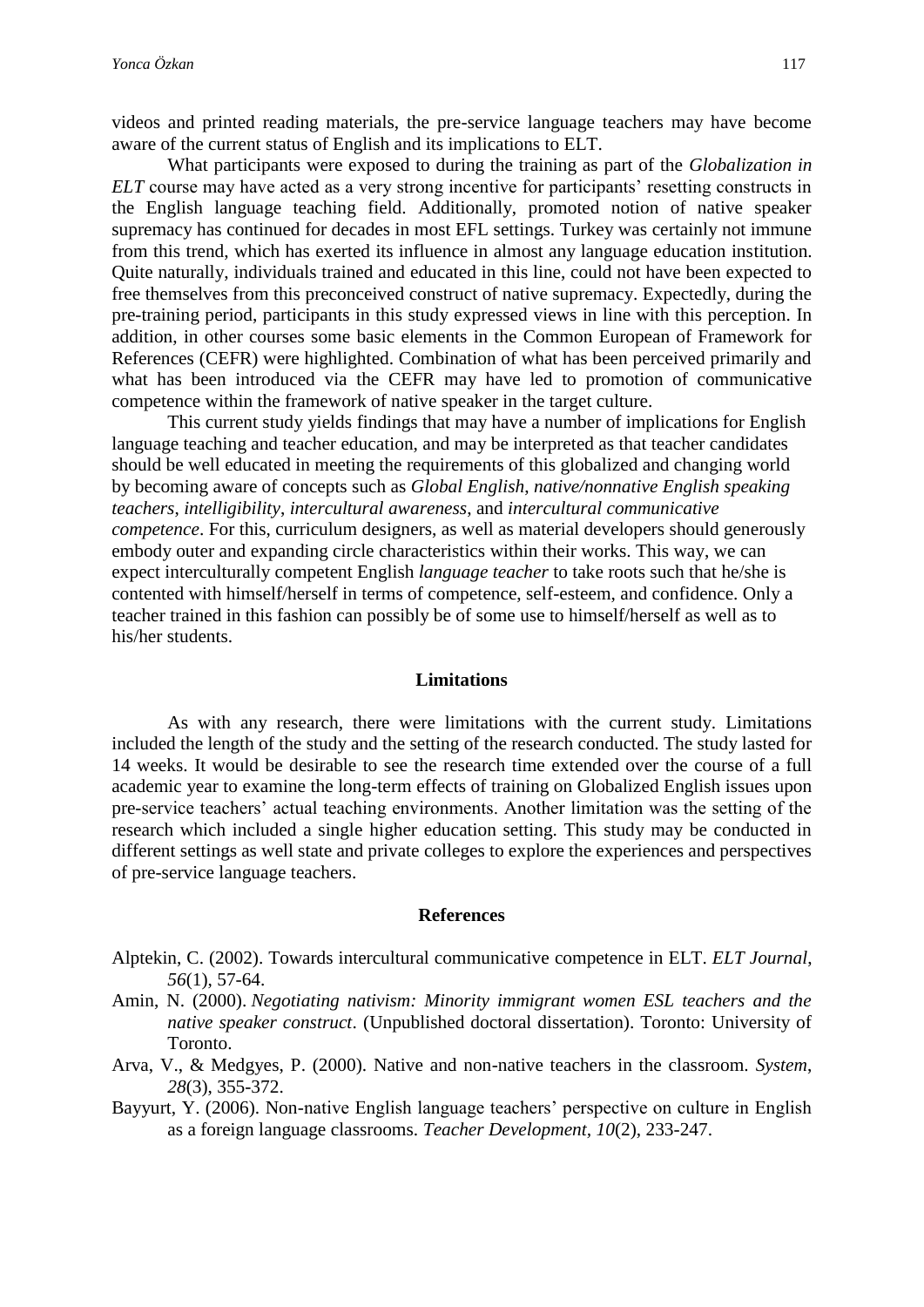videos and printed reading materials, the pre-service language teachers may have become aware of the current status of English and its implications to ELT.

What participants were exposed to during the training as part of the *Globalization in ELT* course may have acted as a very strong incentive for participants' resetting constructs in the English language teaching field. Additionally, promoted notion of native speaker supremacy has continued for decades in most EFL settings. Turkey was certainly not immune from this trend, which has exerted its influence in almost any language education institution. Quite naturally, individuals trained and educated in this line, could not have been expected to free themselves from this preconceived construct of native supremacy. Expectedly, during the pre-training period, participants in this study expressed views in line with this perception. In addition, in other courses some basic elements in the Common European of Framework for References (CEFR) were highlighted. Combination of what has been perceived primarily and what has been introduced via the CEFR may have led to promotion of communicative competence within the framework of native speaker in the target culture.

This current study yields findings that may have a number of implications for English language teaching and teacher education, and may be interpreted as that teacher candidates should be well educated in meeting the requirements of this globalized and changing world by becoming aware of concepts such as *Global English*, *native/nonnative English speaking teachers*, *intelligibility*, *intercultural awareness*, and *intercultural communicative competence*. For this, curriculum designers, as well as material developers should generously embody outer and expanding circle characteristics within their works. This way, we can expect interculturally competent English *language teacher* to take roots such that he/she is contented with himself/herself in terms of competence, self-esteem, and confidence. Only a teacher trained in this fashion can possibly be of some use to himself/herself as well as to his/her students.

#### **Limitations**

As with any research, there were limitations with the current study. Limitations included the length of the study and the setting of the research conducted. The study lasted for 14 weeks. It would be desirable to see the research time extended over the course of a full academic year to examine the long-term effects of training on Globalized English issues upon pre-service teachers' actual teaching environments. Another limitation was the setting of the research which included a single higher education setting. This study may be conducted in different settings as well state and private colleges to explore the experiences and perspectives of pre-service language teachers.

#### **References**

- Alptekin, C. (2002). Towards intercultural communicative competence in ELT. *ELT Journal*, *56*(1), 57-64.
- Amin, N. (2000). *Negotiating nativism: Minority immigrant women ESL teachers and the native speaker construct*. (Unpublished doctoral dissertation). Toronto: University of Toronto.
- Arva, V., & Medgyes, P. (2000). Native and non-native teachers in the classroom. *System*, *28*(3), 355-372.
- Bayyurt, Y. (2006). Non-native English language teachers' perspective on culture in English as a foreign language classrooms. *Teacher Development, 10*(2), 233-247.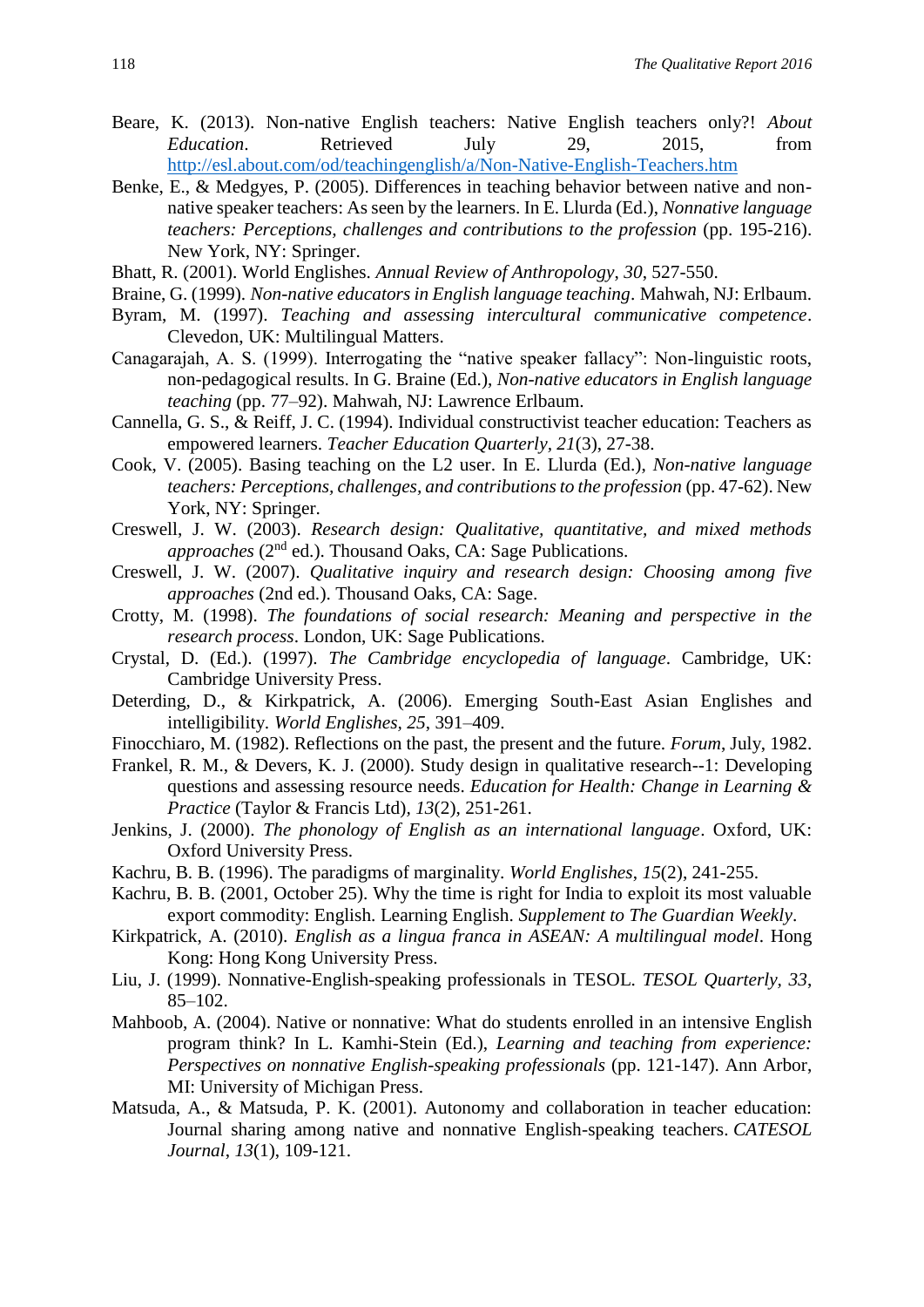- Beare, K. (2013). Non-native English teachers: Native English teachers only?! *About Education*. Retrieved July 29, 2015, from <http://esl.about.com/od/teachingenglish/a/Non-Native-English-Teachers.htm>
- Benke, E., & Medgyes, P. (2005). Differences in teaching behavior between native and nonnative speaker teachers: As seen by the learners. In E. Llurda (Ed.), *Nonnative language teachers: Perceptions, challenges and contributions to the profession* (pp. 195-216). New York, NY: Springer.
- Bhatt, R. (2001). World Englishes. *Annual Review of Anthropology*, *30*, 527-550.
- Braine, G. (1999). *Non-native educators in English language teaching*. Mahwah, NJ: Erlbaum.
- Byram, M. (1997). *Teaching and assessing intercultural communicative competence*. Clevedon, UK: Multilingual Matters.
- Canagarajah, A. S. (1999). Interrogating the "native speaker fallacy": Non-linguistic roots, non-pedagogical results. In G. Braine (Ed.), *Non-native educators in English language teaching* (pp. 77–92). Mahwah, NJ: Lawrence Erlbaum.
- Cannella, G. S., & Reiff, J. C. (1994). Individual constructivist teacher education: Teachers as empowered learners. *Teacher Education Quarterly, 21*(3), 27-38.
- Cook, V. (2005). Basing teaching on the L2 user. In E. Llurda (Ed.), *Non-native language teachers: Perceptions, challenges, and contributions to the profession* (pp. 47-62). New York, NY: Springer.
- Creswell, J. W. (2003). *Research design: Qualitative, quantitative, and mixed methods approaches* (2<sup>nd</sup> ed.). Thousand Oaks, CA: Sage Publications.
- Creswell, J. W. (2007). *Qualitative inquiry and research design: Choosing among five approaches* (2nd ed.). Thousand Oaks, CA: Sage.
- Crotty, M. (1998). *The foundations of social research: Meaning and perspective in the research process*. London, UK: Sage Publications.
- Crystal, D. (Ed.). (1997). *The Cambridge encyclopedia of language*. Cambridge, UK: Cambridge University Press.
- Deterding, D., & Kirkpatrick, A. (2006). Emerging South-East Asian Englishes and intelligibility. *World Englishes, 25*, 391–409.
- Finocchiaro, M. (1982). Reflections on the past, the present and the future. *Forum*, July, 1982.
- Frankel, R. M., & Devers, K. J. (2000). Study design in qualitative research--1: Developing questions and assessing resource needs. *Education for Health: Change in Learning & Practice* (Taylor & Francis Ltd)*, 13*(2), 251-261.
- Jenkins, J. (2000). *The phonology of English as an international language*. Oxford, UK: Oxford University Press.
- Kachru, B. B. (1996). The paradigms of marginality. *World Englishes*, *15*(2), 241-255.
- Kachru, B. B. (2001, October 25). Why the time is right for India to exploit its most valuable export commodity: English. Learning English. *Supplement to The Guardian Weekly*.
- Kirkpatrick, A. (2010). *English as a lingua franca in ASEAN: A multilingual model*. Hong Kong: Hong Kong University Press.
- Liu, J. (1999). Nonnative-English-speaking professionals in TESOL. *TESOL Quarterly, 33*, 85–102.
- Mahboob, A. (2004). Native or nonnative: What do students enrolled in an intensive English program think? In L. Kamhi-Stein (Ed.), *Learning and teaching from experience: Perspectives on nonnative English-speaking professionals* (pp. 121-147). Ann Arbor, MI: University of Michigan Press.
- Matsuda, A., & Matsuda, P. K. (2001). Autonomy and collaboration in teacher education: Journal sharing among native and nonnative English-speaking teachers. *CATESOL Journal*, *13*(1), 109-121.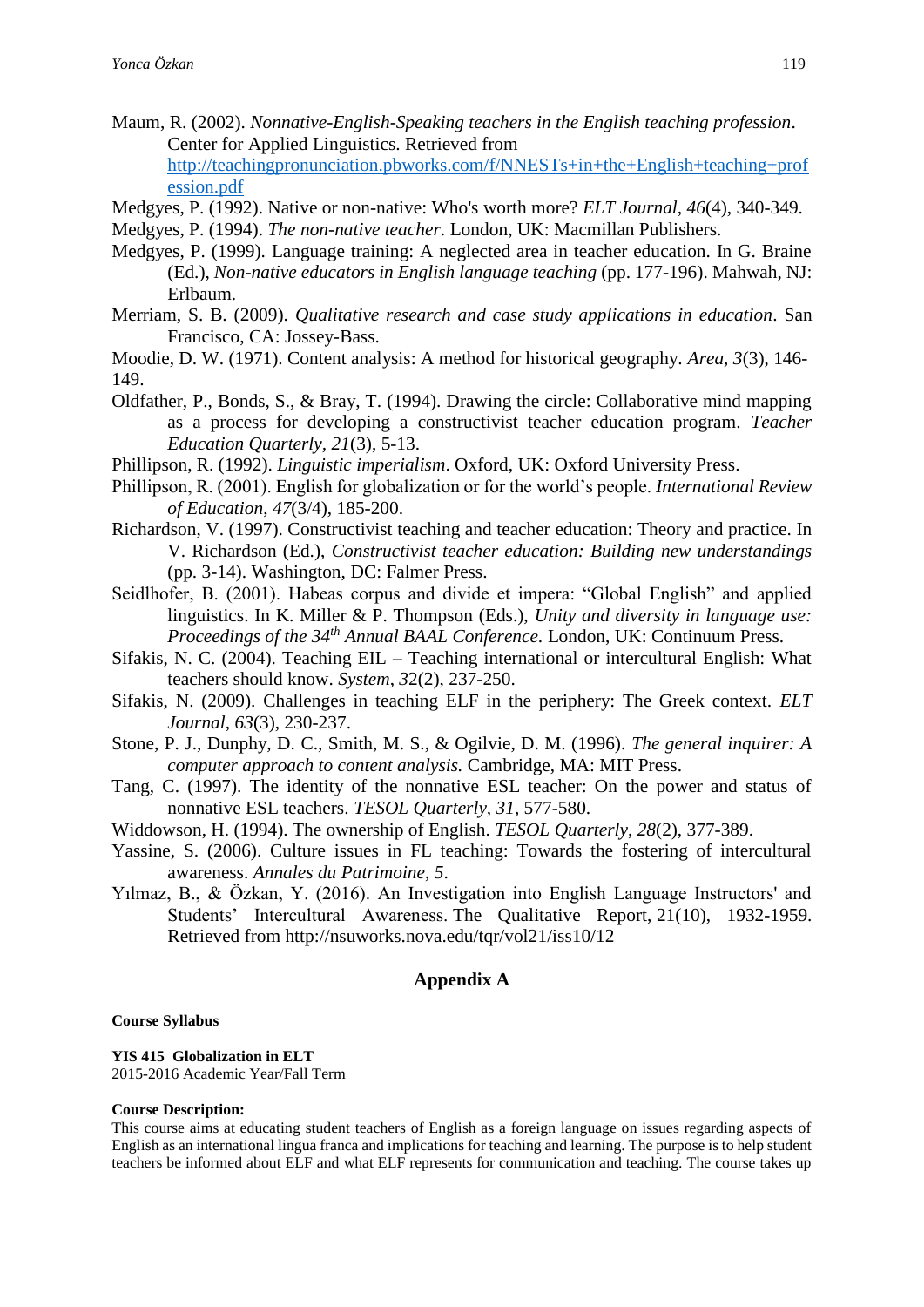- Maum, R. (2002). *Nonnative-English-Speaking teachers in the English teaching profession*. Center for Applied Linguistics. Retrieved from [http://teachingpronunciation.pbworks.com/f/NNESTs+in+the+English+teaching+prof](http://teachingpronunciation.pbworks.com/f/NNESTs+in+the+English+teaching+profession.pdf) [ession.pdf](http://teachingpronunciation.pbworks.com/f/NNESTs+in+the+English+teaching+profession.pdf)
- Medgyes, P. (1992). Native or non-native: Who's worth more? *ELT Journal, 46*(4), 340-349.
- Medgyes, P. (1994). *The non-native teacher*. London, UK: Macmillan Publishers.
- Medgyes, P. (1999). Language training: A neglected area in teacher education. In G. Braine (Ed.), *Non-native educators in English language teaching* (pp. 177-196). Mahwah, NJ: Erlbaum.
- Merriam, S. B. (2009). *Qualitative research and case study applications in education*. San Francisco, CA: Jossey-Bass.
- Moodie, D. W. (1971). Content analysis: A method for historical geography. *Area, 3*(3), 146- 149.
- Oldfather, P., Bonds, S., & Bray, T. (1994). Drawing the circle: Collaborative mind mapping as a process for developing a constructivist teacher education program. *Teacher Education Quarterly, 21*(3), 5-13.
- Phillipson, R. (1992). *Linguistic imperialism*. Oxford, UK: Oxford University Press.
- Phillipson, R. (2001). English for globalization or for the world's people. *International Review of Education*, *47*(3/4), 185-200.
- Richardson, V. (1997). Constructivist teaching and teacher education: Theory and practice. In V. Richardson (Ed.), *Constructivist teacher education: Building new understandings* (pp. 3-14). Washington, DC: Falmer Press.
- Seidlhofer, B. (2001). Habeas corpus and divide et impera: "Global English" and applied linguistics. In K. Miller & P. Thompson (Eds.), *Unity and diversity in language use: Proceedings of the 34th Annual BAAL Conference*. London, UK: Continuum Press.
- Sifakis, N. C. (2004). Teaching EIL Teaching international or intercultural English: What teachers should know. *System*, *3*2(2), 237-250.
- Sifakis, N. (2009). Challenges in teaching ELF in the periphery: The Greek context. *ELT Journal, 63*(3), 230-237.
- Stone, P. J., Dunphy, D. C., Smith, M. S., & Ogilvie, D. M. (1996). *The general inquirer: A computer approach to content analysis.* Cambridge, MA: MIT Press.
- Tang, C. (1997). The identity of the nonnative ESL teacher: On the power and status of nonnative ESL teachers. *TESOL Quarterly, 31*, 577-580.
- Widdowson, H. (1994). The ownership of English. *TESOL Quarterly*, *28*(2), 377-389.
- Yassine, S. (2006). Culture issues in FL teaching: Towards the fostering of intercultural awareness. *Annales du Patrimoine*, *5*.
- Yılmaz, B., & Özkan, Y. (2016). An Investigation into English Language Instructors' and Students' Intercultural Awareness. The Qualitative Report, 21(10), 1932-1959. Retrieved from http://nsuworks.nova.edu/tqr/vol21/iss10/12

# **Appendix A**

#### **Course Syllabus**

**YIS 415 Globalization in ELT** 2015-2016 Academic Year/Fall Term

#### **Course Description:**

This course aims at educating student teachers of English as a foreign language on issues regarding aspects of English as an international lingua franca and implications for teaching and learning. The purpose is to help student teachers be informed about ELF and what ELF represents for communication and teaching. The course takes up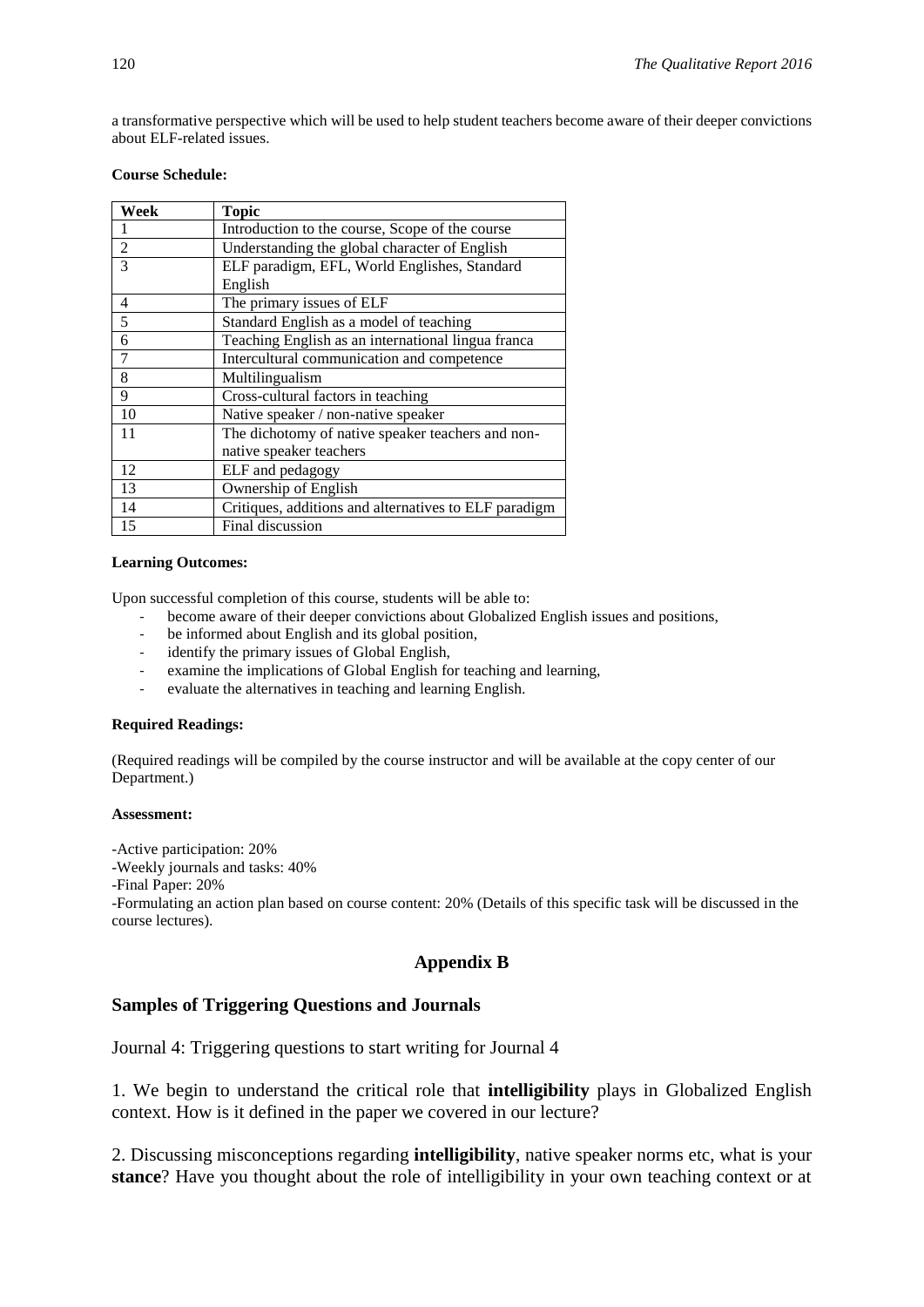a transformative perspective which will be used to help student teachers become aware of their deeper convictions about ELF-related issues.

#### **Course Schedule:**

| Week           | <b>Topic</b>                                          |
|----------------|-------------------------------------------------------|
|                | Introduction to the course, Scope of the course       |
| $\overline{2}$ | Understanding the global character of English         |
| 3              | ELF paradigm, EFL, World Englishes, Standard          |
|                | English                                               |
| 4              | The primary issues of ELF                             |
| 5              | Standard English as a model of teaching               |
| 6              | Teaching English as an international lingua franca    |
| 7              | Intercultural communication and competence            |
| 8              | Multilingualism                                       |
| 9              | Cross-cultural factors in teaching                    |
| 10             | Native speaker / non-native speaker                   |
| 11             | The dichotomy of native speaker teachers and non-     |
|                | native speaker teachers                               |
| 12             | ELF and pedagogy                                      |
| 13             | Ownership of English                                  |
| 14             | Critiques, additions and alternatives to ELF paradigm |
| 15             | Final discussion                                      |

#### **Learning Outcomes:**

Upon successful completion of this course, students will be able to:

- become aware of their deeper convictions about Globalized English issues and positions,
- be informed about English and its global position,
- identify the primary issues of Global English,
- examine the implications of Global English for teaching and learning,
- evaluate the alternatives in teaching and learning English.

#### **Required Readings:**

(Required readings will be compiled by the course instructor and will be available at the copy center of our Department.)

#### **Assessment:**

-Active participation: 20%

-Weekly journals and tasks: 40%

-Final Paper: 20%

-Formulating an action plan based on course content: 20% (Details of this specific task will be discussed in the course lectures).

## **Appendix B**

## **Samples of Triggering Questions and Journals**

Journal 4: Triggering questions to start writing for Journal 4

1. We begin to understand the critical role that **intelligibility** plays in Globalized English context. How is it defined in the paper we covered in our lecture?

2. Discussing misconceptions regarding **intelligibility**, native speaker norms etc, what is your **stance**? Have you thought about the role of intelligibility in your own teaching context or at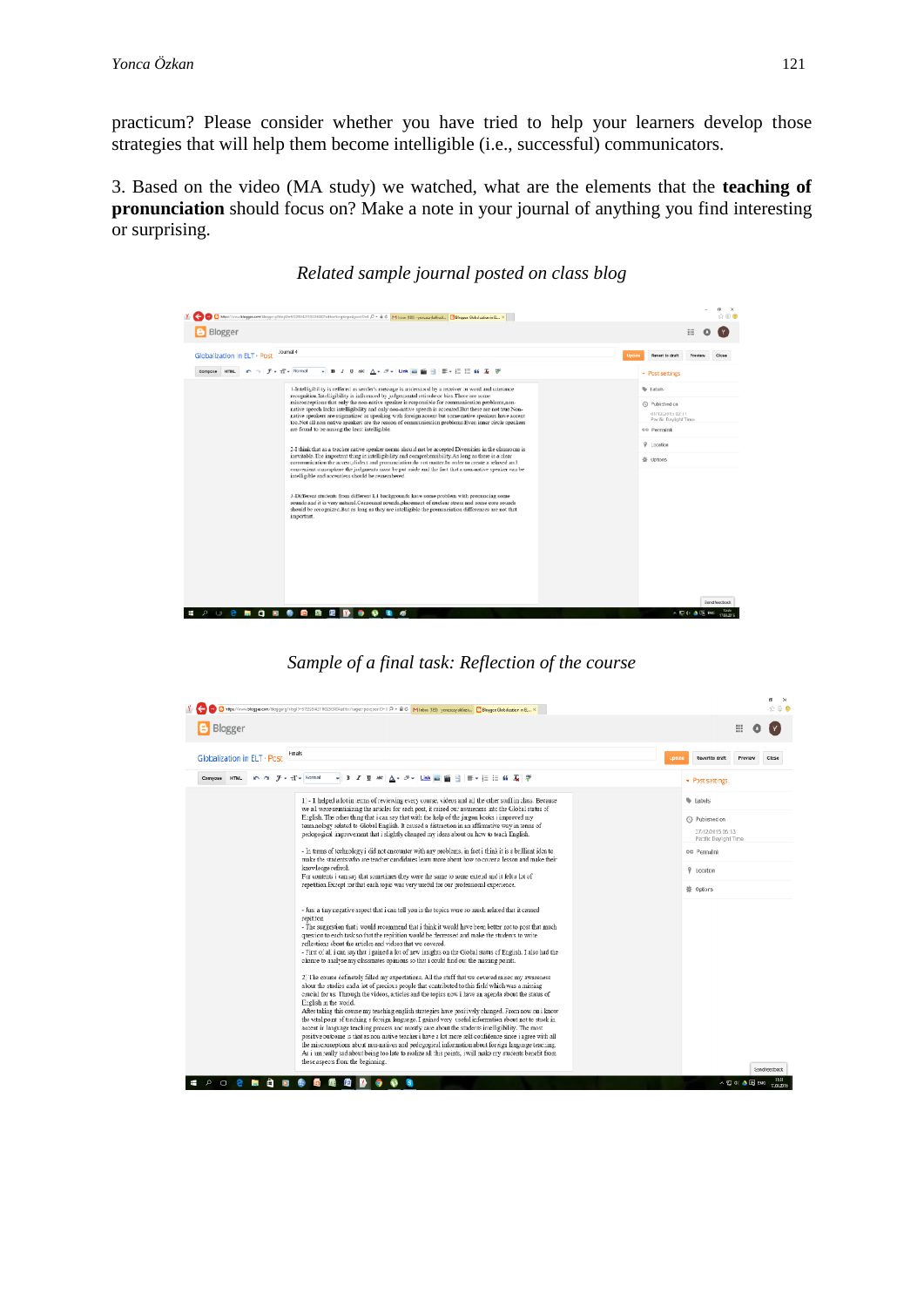practicum? Please consider whether you have tried to help your learners develop those strategies that will help them become intelligible (i.e., successful) communicators.

3. Based on the video (MA study) we watched, what are the elements that the **teaching of pronunciation** should focus on? Make a note in your journal of anything you find interesting or surprising.

#### $=$   $\frac{a}{2}$   $\frac{a}{2}$ Y C C Mas//www.blog .<br>Deltagste postpostD=4 β = iii Ĝ = M| Inixo (189) • yonusuplakkusk... <mark>D</mark> Bloques Globalaakkun in EL. × | ... | Blogger  $\equiv$  0 0 Globalization in ELT · Post Update Revert to draft Preview Close  $\sim$  Post settings Lintelligibility is refilered as sentiated massage is understood by a receiver at word and unitarosce compulsor the<br>objective in the computation of the properties and the computation of<br>the computation problems,<br>according **Wideli** C Published on 01/12/2015 02:11<br>Pacific Daylight Time co Permalink  $\mathcal V$  ...contion 2-1 think that as a torelar native speaker norms should not be accepted.<br>Diversities in the classroom integration of the given between the competent<br>and thing As long as these communication the method of the competent<br>phi **袋 Options**  $3$ -Different students from different L1 backgrounds have some problem with procurating some sounds and it is very natural.<br>Consenant one compared that consense the matching of the studies of the<br>state of the scopian of t  $\land$  El external de la Elia

## *Related sample journal posted on class blog*

*Sample of a final task: Reflection of the course*